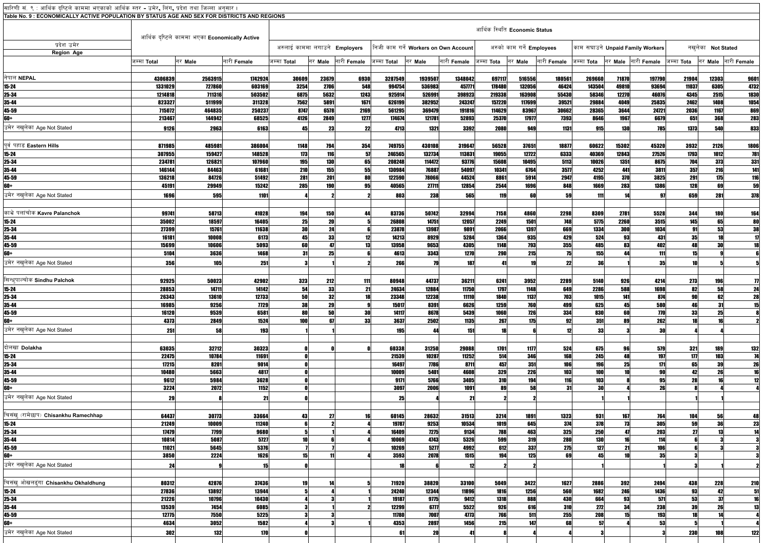| सारिणी सं. ९ : आर्थिक दृष्टिले काममा भएकाको आर्थिक स्तर - उमेर <b>,</b> लिंग <b>,</b> प्रदेश तथा जिल्ला अनुसार । |             |                                                |             |                                      |            |             |             |                                       |             |                               |                           |                    |                   |         |                                  |                   |                   |                     |
|------------------------------------------------------------------------------------------------------------------|-------------|------------------------------------------------|-------------|--------------------------------------|------------|-------------|-------------|---------------------------------------|-------------|-------------------------------|---------------------------|--------------------|-------------------|---------|----------------------------------|-------------------|-------------------|---------------------|
| Table No. 9 : ECONOMICALLY ACTIVE POPULATION BY STATUS AGE AND SEX FOR DISTRICTS AND REGIONS                     |             |                                                |             |                                      |            |             |             |                                       |             |                               |                           |                    |                   |         |                                  |                   |                   |                     |
|                                                                                                                  |             |                                                |             |                                      |            |             |             |                                       |             | आर्थिक स्थिति Economic Status |                           |                    |                   |         |                                  |                   |                   |                     |
|                                                                                                                  |             | आर्थिक दृष्टिले काममा भएका Economically Active |             |                                      |            |             |             |                                       |             |                               |                           |                    |                   |         |                                  |                   |                   |                     |
| प्रदेश उमेर                                                                                                      |             |                                                |             |                                      |            |             |             |                                       |             |                               |                           |                    |                   |         |                                  |                   |                   |                     |
| <b>Region Age</b>                                                                                                |             |                                                |             | अरुलाई काममा लगाउने <b>Employers</b> |            |             |             | निजी काम गर्ने Workers on Own Account |             |                               | अरुको काम गर्ने Employees |                    |                   |         | काम सघाउने Unpaid Family Workers |                   | नखलेका Not Stated |                     |
|                                                                                                                  | जम्मा Total | नर Male                                        | नारी Female | जम्मा <b>Total</b>                   | नर Male    | नारी Female | जम्मा Total | नर Male                               | नारी Female | जम्मा Tota                    | नर Male                   | नारी <b>Female</b> | जम्मा <b>Tota</b> | नर Male | नारी Female                      | जम्मा <b>Tota</b> | नर Male           | नारी Female         |
|                                                                                                                  |             |                                                |             |                                      |            |             |             |                                       |             |                               |                           |                    |                   |         |                                  |                   |                   |                     |
| निपाल NEPAL                                                                                                      | 4306839     | 2563915                                        | 1742924     | 30609                                | 23679      | 6930        | 3287549     | 1939507                               | 1348042     | 697117                        | 516556                    | 180561             | 269660            | 71870   | 197790                           | 21904             | 12303             | 9601                |
| $15 - 24$                                                                                                        | 1331029     | 727860                                         | 603169      | 3254                                 | 2706       | 548         | 994754      | 536983                                | 457771      | 178480                        | 132056                    | 46424              | 143504            | 49810   | 93694                            | 11037             | 6305              | 4732                |
| 25-34                                                                                                            | 1214818     | 711316                                         | 503502      | 6875                                 | 5632       | 1243        | 925914      | 526991                                | 398923      | 219338                        | 163908                    | 55430              | 58346             | 12270   | 46076                            | 4345              | 2515              | 1830                |
| 35-44                                                                                                            | 823327      | 511999                                         | 311328      | 7562                                 | 5891       | 1671        | 626199      | 382952                                | 243247      | 157220                        | 117699                    | 39521              | 29884             | 4049    | 25835                            | 2462              | 1408              | 1054                |
| 45-59                                                                                                            | 715072      | 464835                                         | 250237      | 8747                                 | 6578       | 2169        | 561295      | 369479                                | 191816      | 114629                        | 83967                     | 30662              | 28365             | 3644    | 24721                            | 2036              | 1167              | 869                 |
| 60+                                                                                                              | 213467      | 144942                                         | 68525       | 4126                                 | 2849       | 1277        | 174674      | 121781                                | 52893       | 25370                         | 17977                     | 7393               | 8646              | 1967    | 6679                             | 651               | 368               | 283                 |
| उमेर नखलेका Age Not Stated                                                                                       | 9126        | 2963                                           | 6163        | Д5                                   | 23         |             | 4713        | 1321                                  | 3392        | 2080                          | 949                       | 1131               | 915               | 130     | <b>785</b>                       | 1373              | 540               | 833                 |
|                                                                                                                  |             |                                                |             |                                      |            |             |             |                                       |             |                               |                           |                    |                   |         |                                  |                   |                   |                     |
| पूर्व पहाड Eastern Hills                                                                                         | 871985      | 485981                                         | 386004      | 1148                                 | 794        | 354         | 749755      | 430108                                | 319647      | 56528                         | 37651                     | 18877              | 60622             | 15302   | 45320                            | 3932              | 2126              | 1806                |
| $15 - 24$                                                                                                        | 307955      | 159427                                         | 148528      | 173                                  | 116        | -57         | 246565      | 132734                                | 113831      | 19055                         | 12722                     | 6333               | 40369             | 12843   | 27526                            | 1793              | 1012              | 781                 |
| 25-34                                                                                                            | 234781      | 126821                                         | 107960      | 195                                  | <b>130</b> | 65          | 208248      | 114472                                | 93776       | 15608                         | 10495                     | 5113               | 10026             | 1351    | 8675                             | 704               | 373               | 331                 |
| 35-44                                                                                                            | 146144      | 84463                                          | 61681       | 210                                  | 155        | 55          | 130984      | 76887                                 | 54097       | 10341                         | 6764                      | 3577               | 4252              | 441     | 3811                             | 357               | 216               | 141                 |
| 45-59                                                                                                            | 136218      | 84726                                          | 51492       | 281                                  | 201        | 80          | 122590      | 78066                                 | 44524       | 8861                          | 5914                      | 2947               | 4195              | 370     | 3825                             | <b>291</b>        | 175               | 116                 |
| 60+                                                                                                              | 45191       | 29949                                          | 15242       | 285                                  | 190        | 95          | 40565       | 27711                                 | 12854       | 2544                          | 1696                      | 848                | 1669              | 283     | 1386                             | 128               | 60                | 59                  |
| उमेर नखलेका Age Not Stated                                                                                       | 1696        | <b>595</b>                                     | 1101        |                                      |            |             | 803         | 238                                   | 565         | <b>119</b>                    | 60                        | 59                 | 111               |         |                                  | 659               | 281               | 378                 |
|                                                                                                                  |             |                                                |             |                                      |            |             |             |                                       |             |                               |                           |                    |                   |         |                                  |                   |                   |                     |
| काभ्रे पलांचोक Kavre Palanchok                                                                                   | 99741       | 58713                                          | 41028       | 194                                  | 150        |             | 83736       | 50742                                 | 32994       | 7158                          | 4860                      | 2298               | 8309              | 2781    | 5528                             | 344               | <b>180</b>        | 164                 |
| $15 - 24$                                                                                                        | 35002       | 18597                                          | 16405       | 25                                   | 20         |             | 26808       | 14751                                 | 12057       | 2249                          | 1501                      | 748                | 5775              | 2260    | 3515                             | 145               | 65                | 80                  |
| 25-34                                                                                                            | 27399       | 15761                                          | 11638       | 30                                   | 24         |             | 23878       | 13987                                 | 9891        | 2066                          | 1397                      | 669                | 1334              | 300     | 1034                             | 91                | 53                | 38                  |
| 35-44                                                                                                            | 16181       | 10008                                          | 6173        | 45                                   | 33         |             | 14213       | 8929                                  | 5284        | 1364                          | 935                       | 429                | 524               | 93      | 431                              | 35 <sup>1</sup>   |                   | $\mathbf{1}$        |
| 45-59                                                                                                            | 15699       | 10606                                          | 5093        | 60                                   |            |             | 13958       | 9653                                  | 4305        | 1148                          | 793                       | 355                | 485               | 83      | 402                              | 48                |                   | 18                  |
| 60+                                                                                                              | 5104        | 3636                                           | 1468        | 31                                   | 25         |             | 4613        | 3343                                  | 1270        | 290                           | 215                       |                    | 155               |         | 111                              | 15                |                   |                     |
| उमेर नखलेका Age Not Stated                                                                                       | 356         | <b>105</b>                                     | 251         |                                      |            |             | 266         | 79                                    | 187         |                               | 19                        | 22                 | 36                |         | 35                               | 10                |                   |                     |
|                                                                                                                  |             |                                                |             |                                      |            |             |             |                                       |             |                               |                           |                    |                   |         |                                  |                   |                   |                     |
| सिन्धपाल्चोक Sindhu Palchok                                                                                      | 92925       | 50023                                          | 42902       | 323                                  | 212        |             | 80948       | 44737                                 | 36211       | 6241                          | 3952                      | 2289               | 5140              | 926     | 4214                             | 273               | 196               | $\boldsymbol{\eta}$ |
| $15 - 24$                                                                                                        | 28853       | 14711                                          | 14142       | 54                                   | 33         | 21          | 24634       | 12884                                 | 11750       | 1797                          | 1148                      | 649                | 2286              | 588     | 1698                             | 82                | 58                | 24                  |
| 25-34                                                                                                            | 26343       | 13610                                          | 12733       | 50                                   | 32         | 18          | 23348       | 12238                                 | 11110       | 1840                          | 1137                      | 703                | 1015              | 141     | 874                              | 90                | 62                | 28                  |
| 35-44                                                                                                            | 16985       | 9256                                           | <b>7729</b> | 38                                   | 29         |             | 15017       | 8391                                  | 6626        | 1259                          | 760                       | 499                | 625               | 45      | 580                              | 46                | 31                | 15                  |
| 45-59                                                                                                            | 16120       | 9539                                           | 6581        | 80                                   | 50         | 30          | 14117       | 8678                                  | 5439        | 1060                          | 726                       | 334                | 830               | 60      | 770                              | 33                | 25                |                     |
| 60+                                                                                                              | 4373        | 2849                                           | 1524        | 100                                  |            | 33          | 3637        | 2502                                  | 1135        | 267                           | 175                       | 92                 | 351               | 89      | 262                              | 18                |                   |                     |
| उमेर नखुलेका Age Not Stated                                                                                      | 251         | 58                                             | 193         |                                      |            |             | 195         | 44                                    | 151         | 18                            |                           |                    | 33                |         | 30                               |                   |                   |                     |
|                                                                                                                  |             |                                                |             |                                      |            |             |             |                                       |             |                               |                           |                    |                   |         |                                  |                   |                   |                     |
| दोलखा Dolakha                                                                                                    | 63035       | 32712                                          | 30323       |                                      |            |             | 60338       | 31250                                 | 29088       | 1701                          | 1177                      | 524                | 675               | 96      | 579                              | 321               | 189               | 132                 |
| $15 - 24$                                                                                                        | 22475       | 10784                                          | 11691       |                                      |            |             | 21539       | 10287                                 | 11252       | 514                           | 346                       | 168                | 245               |         | 197                              | 177               | 103               | 74                  |
| 25-34                                                                                                            | 17215       | 8201                                           | 9014        |                                      |            |             | 16497       | 7786                                  | 8711        | 457                           | 351                       | 106                | 196               | 25      | 171                              | 65                | 39                | 26                  |
| 35-44                                                                                                            | 10480       | 5663                                           | 4817        |                                      |            |             | 10009       | 5401                                  | 4608        | 329                           | 226                       | <b>103</b>         | 100               |         | 90                               | 42                | 26                | 16                  |
| 45-59                                                                                                            | 9612        | 5984                                           | 3628        |                                      |            |             | 9171        | 5766                                  | 3405        | 310                           | 194                       | 116                | 103               |         | 95                               | 28                |                   | 12                  |
| 60+                                                                                                              | 3224        | 2072                                           | 1152        |                                      |            |             | 3097        | 2006                                  | 1091        | 89                            | 58                        |                    | 30                |         | 26                               |                   |                   |                     |
| उमेर नखलेका Age Not Stated                                                                                       | 29          |                                                | 2           |                                      |            |             | 25          |                                       | 21          |                               |                           |                    |                   |         |                                  |                   |                   |                     |
|                                                                                                                  |             |                                                |             |                                      |            |             |             |                                       |             |                               |                           |                    |                   |         |                                  |                   |                   |                     |
| चिसंख् (रामेछाप) Chisankhu Ramechhap                                                                             | 64437       | 30773                                          | 33664       | 43                                   |            |             | 60145       | 28632                                 | 31513       | 3214                          | 1891                      | 1323               | 931               | 167     | 764                              | 104               | 56                | 48                  |
| $15 - 24$                                                                                                        | 21249       | 10009                                          | 11240       |                                      |            |             | 19787       | 9253                                  | 10534       | 1019                          | 645                       | 374                | 378               | 73      | 305                              | 59                |                   | 23                  |
| 25-34                                                                                                            | 17479       | 7799                                           | 9680        |                                      |            |             | 16409       | 7275                                  | 9134        | 788                           | 463                       | 325                | 250               | 47      | 203                              | 27                |                   | 14                  |
| 35-44                                                                                                            | 10814       | 5087                                           | 5727        |                                      |            |             | 10069       | 4743                                  | 5326        | 599                           | 319                       | <b>280</b>         | 130               | 16      | 114                              |                   |                   |                     |
| 45-59                                                                                                            | 11021       | 5645                                           | 5376        |                                      |            |             | 10269       | 5277                                  | 4992        | 612                           | 337                       | 275                | 127               | 21      | 106                              |                   |                   |                     |
| 60+                                                                                                              | 3850        | 2224                                           | 1626        |                                      |            |             | 3593        | 2078                                  | 1515        | 194                           | 125                       | 69                 | 45                |         | 35                               |                   |                   |                     |
| उमेर नखलेका Age Not Stated                                                                                       | 24          |                                                |             |                                      |            |             | 18          |                                       | 12          |                               |                           |                    |                   |         |                                  |                   |                   |                     |
|                                                                                                                  |             |                                                |             |                                      |            |             |             |                                       |             |                               |                           |                    |                   |         |                                  |                   |                   |                     |
| चिसंख ओखलढ्ंगा Chisankhu Okhaldhung                                                                              | 80312       | 42876                                          | 37436       | 19                                   |            |             | 71920       | 38820                                 | 33100       | 5049                          | 3422                      | 1627               | 2886              | 392     | 2494                             | 438               | 228               | 210                 |
| $15 - 24$                                                                                                        | 27836       | 13892                                          | 13944       |                                      |            |             | 24240       | 12344                                 | 11896       | 1816                          | 1256                      | 560                | 1682              | 246     | 1436                             | 93                |                   | 51                  |
| 25-34                                                                                                            | 21226       | 10796                                          | 10430       |                                      |            |             | 19187       | 9775                                  | 9412        | 1318                          | 888                       | 430                | 664               | 93      | 571                              | 53                |                   | 16                  |
| 35-44                                                                                                            | 13539       | 7454                                           | 6085        |                                      |            |             | 12299       | 6777                                  | 5522        | 926                           | 616                       | 310                | 272               | 34      | 238                              | 39                | 26                | 13                  |
| 45-59                                                                                                            | 12775       | 7550                                           | 5225        |                                      |            |             | 11780       | 7007                                  | 4773        | 766                           | 511                       | 255                | 208               |         | 193                              | 18                |                   |                     |
| 60+                                                                                                              | 4634        | 3052                                           | 1582        |                                      |            |             | 4353        | 2897                                  | 1456        | 215                           | 147                       | 68                 | 57                |         | 53                               |                   |                   |                     |
| उमेर नखुलेका Age Not Stated                                                                                      | 302         | 132                                            | 170         |                                      |            |             | 61          | 20                                    | 41          |                               |                           |                    |                   |         |                                  | <b>230</b>        | 108               | $122$               |
|                                                                                                                  |             |                                                |             |                                      |            |             |             |                                       |             |                               |                           |                    |                   |         |                                  |                   |                   |                     |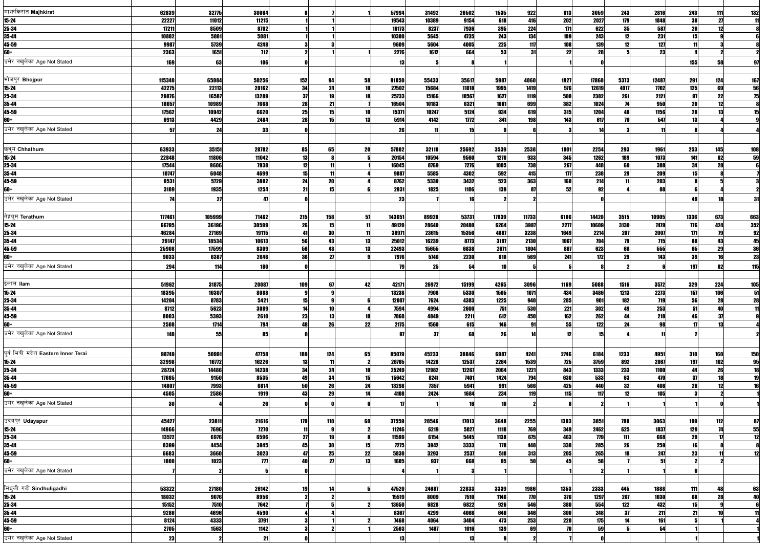| मार्फाकरात Majhkirat                  | 62839      | 32775  | 30064               |                     |          |    | 57994       | 31492 | 26502 | 1535         | 922   | 613        | 3059  | 243  | 2816         | 243        | 111                    | 132                                                                                         |
|---------------------------------------|------------|--------|---------------------|---------------------|----------|----|-------------|-------|-------|--------------|-------|------------|-------|------|--------------|------------|------------------------|---------------------------------------------------------------------------------------------|
| $15 - 24$                             | 22227      | 11012  | 11215               |                     |          |    | 19543       | 10389 | 9154  | 618          | 416   | 202        | 2027  | 179  | 1848         | 38         | 27                     |                                                                                             |
| 25-34                                 | 17211      | 8509   | 8702                |                     |          |    | 16173       | 8237  | 7936  | 395          | 224   | 171        | 622   | 35   | 587          | 20         | 12                     |                                                                                             |
| 35-44                                 | 10882      | 5801   | 5081                |                     |          |    | 10380       | 5645  | 4735  | 243          | 134   | 109        | 243   | 12   | 231          | 15         |                        |                                                                                             |
| 45-59                                 | 9987       | 5739   | 4248                |                     |          |    | 9609        | 5604  | 4005  | 225          | 117   | 108        | 139   |      | 127          |            |                        |                                                                                             |
| 60+                                   | 2363       | 1651   | 712                 |                     |          |    | 2276        | 1612  | 664   | 53           | 31    | 22         | 28    |      | 23           |            |                        |                                                                                             |
| उमेर नखलेका Age Not Stated            | <b>169</b> | 63     | 106                 |                     |          |    |             |       |       |              |       |            |       |      |              | 155        | 58                     | 97                                                                                          |
|                                       |            |        |                     |                     |          |    |             |       |       |              |       |            |       |      |              |            |                        |                                                                                             |
| भोजपुर Bhojpur                        | 115340     | 65084  | 50256               | 152                 | 94       | 58 | 91050       | 55433 | 35617 | 5987         | 4060  | 1927       | 17860 | 5373 | 12487        | 291        | 124                    | <u>167</u>                                                                                  |
| $15 - 24$                             | 42275      | 22113  | 20162               | 34                  | 24       |    | 27502       | 15684 | 11818 | 1995         | 1419  | 576        | 12619 | 4917 | 7702         | 125        | 69                     |                                                                                             |
| 25-34                                 | 29876      | 16587  | 13289               | 37                  | 19       |    | 25733       | 15166 | 10567 | 1627         | 1119  | 508        | 2382  | 261  | 2121         | 97         | 22                     | $\begin{array}{r}\n\overline{\mathbf{56}} \\ \hline\n\overline{\mathbf{75}} \\ \end{array}$ |
| 35-44                                 | 18657      | 10989  | 7668                | 28                  | 21       |    | 16504       | 10183 | 6321  | 1081         | 699   | 382        | 1024  |      | 950          | 20         | 12                     |                                                                                             |
| 45-59                                 | 17562      | 10942  | 6620                | 25                  | 15       |    | 15371       | 10247 | 5124  | 934          | 619   | 315        | 1204  | 48   | 1156         | 28         | 13                     | 15                                                                                          |
| 60+                                   | 6913       | 4429   | 2484                | 28                  | 15       | 13 | 5914        | 4142  | 1772  | 341          | 198   | 143        | 617   | 70   | 547          | 13         |                        |                                                                                             |
| उमेर नखलेका Age Not Stated            | 57         | 24     | 33                  |                     |          |    | 26          | 11    | 15    |              |       |            | 14    |      |              |            |                        |                                                                                             |
|                                       |            |        |                     |                     |          |    |             |       |       |              |       |            |       |      |              |            |                        |                                                                                             |
|                                       |            |        |                     |                     |          |    |             |       |       |              |       |            |       |      |              |            |                        |                                                                                             |
| छथ्म Chhathum                         | 63933      | 35151  | 28782               | 85                  | 65       | 20 | 57802       | 32110 | 25692 | 3539         | 2538  | 1001       | 2254  | 293  | 1961         | 253        | 145                    | <b>108</b>                                                                                  |
| $15 - 24$                             | 22848      | 11806  | 11042               | 13                  |          |    | 20154       | 10594 | 9560  | 1278         | 933   | 345        | 1262  | 189  | 1073         | 141        | 82                     | $\overline{59}$                                                                             |
| 25-34                                 | 17544      | 9606   | 7938                | 12                  | 11       |    | 16045       | 8769  | 7276  | 1005         | 738   | 267        | 448   | 60   | <b>388</b>   | 34         | 28                     |                                                                                             |
| 35-44                                 | 10747      | 6048   | 4699                | 15 <sup>1</sup>     |          |    | 9887        | 5585  | 4302  | 592          | 415   | 177        | 238   | 29   | 209          |            |                        |                                                                                             |
| 45-59                                 | 9531       | 5729   | 3802                | 24                  | 20<br>15 |    | 8762        | 5330  | 3432  | 523          | 363   | 160        | 214   |      | 203          |            |                        |                                                                                             |
| 60+                                   | 3189       | 1935   | 1254                | 21                  |          |    | 2931        | 1825  | 1106  | <b>139</b>   |       | 52         | 92    |      | 88           |            |                        |                                                                                             |
| उमेर नखलेका Age Not Stated            | 74         | 27     | 47                  |                     |          |    | 23          |       |       |              |       |            |       |      |              |            |                        | 31                                                                                          |
|                                       |            |        |                     |                     |          |    |             |       |       |              |       |            |       |      |              |            |                        |                                                                                             |
| तेह्रथ्म Terathum                     | 177461     | 105999 | 71462               | 215                 | 158      | 57 | 143651      | 89920 | 53731 | 17839        | 11733 | 6106       | 14420 | 3515 | 10905        | 1336       | 673                    | 663                                                                                         |
| $15 - 24$                             | 66795      | 36196  | 30599               | 26                  | 15       |    | 49120       | 28640 | 20480 | 6264         | 3987  | 2277       | 10609 | 3130 | 7479         | 776        | 424                    |                                                                                             |
| 25-34                                 | 46284      | 27169  | 19115               | 41                  | 30       |    | 38971       | 23615 | 15356 | 4887         | 3238  | 1649       | 2214  | 207  | 2007         | 171        | 79                     |                                                                                             |
| 35-44                                 | 29147      | 18534  | 10613               | 56                  | 43       | 13 | 25012       | 16239 | 8773  | 3197         | 2130  | 1067       | 794   | 79   | 715          | 88         | 43                     | $\begin{array}{r} 352 \\ \hline 92 \\ \hline 45 \\ \hline 36 \\ 23 \end{array}$             |
| 45-59                                 | 25908      | 17599  | 8309                | 56                  | 43       | 13 | 22493       | 15655 | 6838  | 2671         | 1804  | 867        | 623   | 68   | 555          | 65         | 29                     |                                                                                             |
| 60+                                   | 9033       | 6387   | 2646                | 36                  | 27       |    | 7976        | 5746  | 2230  | 810          | 569   | 241        | 172   | 29   | 143          | 39         | 16                     |                                                                                             |
| उमेर नखलेका Age Not Stated            | 294        | 114    | <b>180</b>          |                     |          |    |             | 25    | 54    |              |       |            |       |      |              | 197        | 82                     | <b>115</b>                                                                                  |
|                                       |            |        |                     |                     |          |    |             |       |       |              |       |            |       |      |              |            |                        |                                                                                             |
| ईलाम llam                             | 51962      | 31875  | 20087               | 109                 | 67       | 42 | 42171       | 26972 | 15199 | 4265         | 3096  | 1169       | 5088  | 1516 | 3572         | 329        | 224                    | <b>105</b>                                                                                  |
| $15 - 24$                             | 18395      | 10307  | 8088                |                     |          |    | 13238       | 7908  | 5330  | 1505         | 1071  | 434        | 3486  | 1213 | <b>2273</b>  | 157        | <u> 106 </u>           |                                                                                             |
| 25-34                                 | 14204      | 8783   | 5421                | 15                  |          |    | 12007       | 7624  | 4383  | 1225         | 940   | <b>285</b> | 901   | 182  | <b>719</b>   | 56         | 28                     | $\begin{array}{c} 51 \\ \hline 28 \end{array}$                                              |
| 35-44                                 | 8712       | 5623   | 3089                | 14                  | 10       |    | 7594        | 4994  | 2600  | 751          | 530   | 221        | 302   | 49   | 253          | 51         | 40                     | 11                                                                                          |
| 45-59                                 | 8003       | 5393   | 2610                | 23                  | 13       | 10 | 7060        | 4849  | 2211  | 612          | 450   | 162        | 262   | 44   | 218          | 46         | 37                     |                                                                                             |
| 60+                                   | 2508       | 1714   | 794                 | 48                  | 26       | 22 | 2175        | 1560  | 615   | 146          |       | 55         | 122   | 24   | 98           |            | 13                     |                                                                                             |
| उमेर नखलेका Age Not Stated            | 140        | 55     | 85                  |                     |          |    | 97          | 37    | 60    | 26           |       | 12         | 15    |      |              |            |                        |                                                                                             |
|                                       |            |        |                     |                     |          |    |             |       |       |              |       |            |       |      |              |            |                        |                                                                                             |
| पूर्व भित्री मदेश Eastern Inner Terai | 98749      | 50991  | 47758               | 189                 | 124      | 65 | 85079       | 45233 | 39846 | 6987         | 4241  | 2746       | 6184  | 1233 | 4951         | <b>310</b> | 160                    |                                                                                             |
| $15 - 24$                             | 32998      | 16772  | 16226               | 13                  | 11       |    | 26765       | 14228 | 12537 | 2264         | 1539  | <b>725</b> | 3759  | 892  | 2867         | 197        | 102                    | 150                                                                                         |
| 25-34                                 | 28724      | 14486  | 14238               | 34                  | 24       | 10 | 25249       | 12982 | 12267 | 2064         | 1221  | 843        | 1333  | 233  | 1100         | 44         | 26                     |                                                                                             |
| 35-44                                 | 17685      | 9150   | 8535                | 49                  | 34       | 15 | 15642       | 8241  | 7401  | 1424         | 794   | 630        | 533   | 63   | 470          | 37         | 18                     | $\begin{array}{r}\n\overline{95} \\ \hline\n18 \\ \hline\n19 \\ \hline\n\end{array}$        |
| 45-59                                 | 14807      | 7993   | 6814                | 50                  | 26       | 24 | 13298       | 7357  | 5941  | 991          | 566   | 425        | 440   | 32   | 408          | 28         | 12                     |                                                                                             |
| 60+                                   | 4505       | 2586   | 1919                | 43                  | 29       | 14 | 4108        | 2424  | 1684  | 234          | 119   | 115        | 117   | 12   | 105          |            |                        |                                                                                             |
| उमेर नखलेका Age Not Stated            | 30         |        | 26                  |                     |          |    |             |       |       |              |       |            | 2     |      |              |            |                        |                                                                                             |
|                                       |            |        |                     |                     |          |    |             |       |       |              |       |            |       |      |              |            |                        |                                                                                             |
| उदयपुर Udayapur                       | 45427      | 23811  | 21616               |                     | 110      | 60 | 37559       | 20546 | 17013 |              | 2255  | 1393       | 3851  | 788  |              |            |                        |                                                                                             |
| $15-24$                               | 14966      | 7696   | 7270                | 170<br>$\mathbf{1}$ |          |    | 11246       | 6219  | 5027  | 3648<br>1118 | 769   | 349        | 2462  | 625  | 3063<br>1837 | 199<br>129 | 112<br>$\overline{14}$ | $\begin{array}{r} 87 \\ \hline 55 \\ \hline 12 \end{array}$                                 |
| 25-34                                 | 13572      | 6976   | 6596                | 27                  | 19       |    | 11599       | 6154  | 5445  | 1138         | 675   | 463        | 779   | 111  | 668          | 29         |                        |                                                                                             |
| 35-44                                 | 8399       | 4454   | 3945                | 45                  | 30       | 15 | <b>7275</b> | 3942  | 3333  | 778          | 448   | 330        | 285   | 26   | 259          |            |                        |                                                                                             |
| 45-59                                 | 6683       | 3660   | 3023                | 47                  | 25       | 22 | 5830        | 3293  | 2537  | 518          | 313   | 205        | 265   |      | 247          | 23         |                        | 12                                                                                          |
| 60+                                   | 1800       | 1023   | $\boldsymbol{\eta}$ | 40                  | 27       | 13 | 1605        | 937   | 668   | 95           | 50    | 45         | 58    |      | 51           |            |                        |                                                                                             |
| उमेर नखलेका Age Not Stated            |            |        |                     |                     |          |    |             |       |       |              |       |            |       |      |              |            |                        |                                                                                             |
|                                       |            |        |                     |                     |          |    |             |       |       |              |       |            |       |      |              |            |                        |                                                                                             |
|                                       |            |        |                     |                     |          |    |             |       |       |              |       |            |       |      |              |            |                        |                                                                                             |
| सिंधुली गढी Sindhuligadhi             | 53322      | 27180  | 26142               | 19                  |          |    | 47520       | 24687 | 22833 | 3339         | 1986  | 1353       | 2333  | 445  | 1888         | 111        | 48                     | 63                                                                                          |
| $15 - 24$                             | 18032      | 9076   | 8956                |                     |          |    | 15519       | 8009  | 7510  | 1146         | 770   | 376        | 1297  | 267  | 1030         | 68         | 28                     | <b>40</b>                                                                                   |
| 25-34                                 | 15152      | 7510   | 7642                |                     |          |    | 13650       | 6828  | 6822  | 926          | 546   | 380        | 554   | 122  | 432          | 15         |                        |                                                                                             |
| 35-44                                 | 9286       | 4696   | 4590                |                     |          |    | 8367        | 4299  | 4068  | 646          | 346   | 300        | 248   | 37   | 211          | 21         | 10 <sup>1</sup>        |                                                                                             |
| 45-59                                 | 8124       | 4333   | 3791                |                     |          |    | 7468        | 4064  | 3404  | 473          | 253   | <b>220</b> | 175   |      | 161          |            |                        |                                                                                             |
| 60+                                   | 2705       | 1563   | 1142                |                     |          |    | 2503        | 1487  | 1016  | 139          | 69    | 70         | 59    |      | 54           |            |                        |                                                                                             |
| उमेर नखुलेका Age Not Stated           | 23         | 2      | 21                  |                     |          |    | 13          |       | 13    |              |       |            |       |      |              |            |                        |                                                                                             |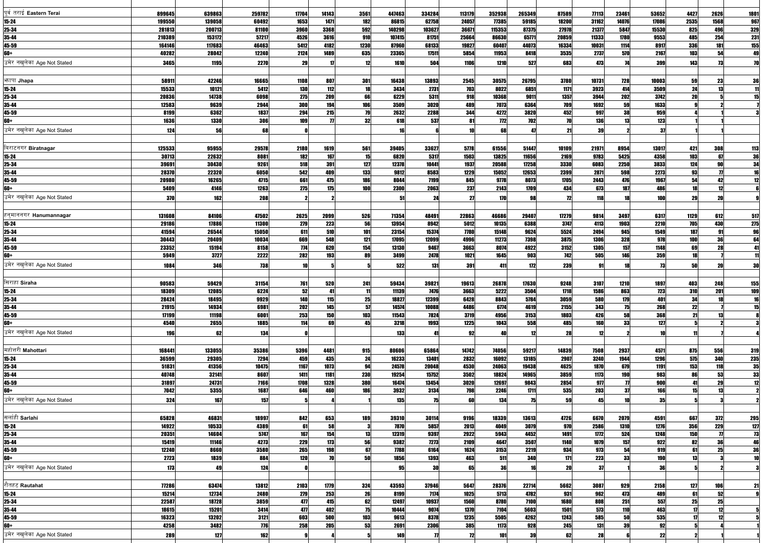| पूर्व तराई Eastern Terai       | 899645          | 639863         | 259782        | 17704        | 14143          | 3561      | 447463         | 334284         | 113179       | 352938         | 265349         | 87589         | 77113         | 23461                             | 53652         | 4427       | 2626                        | <b>1801</b>                                                                            |
|--------------------------------|-----------------|----------------|---------------|--------------|----------------|-----------|----------------|----------------|--------------|----------------|----------------|---------------|---------------|-----------------------------------|---------------|------------|-----------------------------|----------------------------------------------------------------------------------------|
| $15 - 24$                      | 199550          | 139058         | 60492         | 1653         | 1471           | 182       | 86815          | 62758          | 24057        | 77385          | 59185          | 18200         | 31162         | 14076                             | 17086         | 2535       | 1568                        | <b>967</b>                                                                             |
| 25-34                          | 281813          | 200713         | 81100         | 3960         | 3368           | 592       | 140298         | 103627         | 36671        | 115353         | 87375          | 27978         | 21377         | 5847                              | 15530         | 825        | 496                         | 329<br>231                                                                             |
| 35-44                          | 210389          | 153172         | 57217         | 4526         | 3616           | 910       | 107415         | 81751          | 25664        | 86630          | 65771          | 20859         | 11333         | 1780                              | 9553          | 485        | 254                         |                                                                                        |
| 45-59                          | 164146          | 117683         | 46463         | 5412         | 4182           | 1230      | 87960          | 68133          | 19827        | 6040           | 44073          | 16334         | 10031         | 1114                              | 8917          | 336        | 181                         | $\begin{array}{r}\n\overline{155} \\ 49\n\end{array}$                                  |
| 60+                            | 40282           | 28042          | 12240         | 2124         | 1489           | 635       | 23365          | 17511          | 5854         | 11953          | 8418           | 3535          | 2737          | 570                               | 2167          | 103        | 54                          |                                                                                        |
| उमेर नखलेका Age Not Stated     | 3465            | 1195           | 2270          | 29           | 17             | 12        | 1610           | 504            | 1106         | 1210           | 527            | 683           | 473           |                                   | 399           | 143        | 73                          |                                                                                        |
|                                |                 |                |               |              |                |           |                |                |              |                |                |               |               |                                   |               |            |                             |                                                                                        |
| भगपा Jhapa                     | 58911           | 42246          | 16665         | 1108         | 807            | 301       | 16438          | 13893          | 2545         | 30575          | 26795          | 3780          | 10731         | <b>728</b>                        | 10003         | 59         | 23                          | 36                                                                                     |
| $15 - 24$                      | 15533           | 10121          | 5412          | <b>130</b>   | 112            | 18        | 3434           | 2731           | 703          | 8022           | 6851           | 1171          | 3923          | 414                               | 3509          | 24         | 13                          | $\overline{\mathbf{1}}$                                                                |
| 25-34                          | 20836           | 14738          | 6098          | 275          | 209            | 66        | 6229           | 5311           | 918          | 10368          | 901            | 1357          | 3944          | 202                               | 3742          | 20         |                             | $\overline{15}$                                                                        |
| 35-44<br>45-59                 | 12583<br>8199   | 9639<br>6362   | 2944<br>1837  | 300<br>294   | 194<br>215     | 106<br>79 | 3509<br>2632   | 3020<br>2288   | 489<br>344   | 7073<br>4272   | 6364<br>3820   | 709<br>452    | 1692          | 59<br>38                          | 1633<br>959   |            |                             |                                                                                        |
| 60+                            | 1636            | 1330           | 306           | <b>109</b>   | $\overline{u}$ | 32        | 618            | 537            | 81           | <b>772</b>     | 702            | 70            | 997<br>136    |                                   | 123           |            |                             |                                                                                        |
| उमेर नखलेका Age Not Stated     |                 |                |               |              |                |           |                |                |              |                |                |               |               |                                   |               |            |                             |                                                                                        |
|                                | 124             | 56             | 68            |              |                |           |                |                |              | 68             |                | 21            | 39            |                                   | -37           |            |                             |                                                                                        |
| बिराटनगर Biratnagar            |                 |                |               |              |                |           |                |                |              |                |                |               |               |                                   |               |            |                             |                                                                                        |
| $15 - 24$                      | 125533<br>30713 | 95955<br>22632 | 29578<br>8081 | 2180<br>182  | 1619<br>167    | 561<br>15 | 39405<br>6820  | 33627<br>5317  | 5778<br>1503 | 61556<br>13825 | 51447<br>11656 | 10109<br>2169 | 21971<br>9783 | 8954<br>5425                      | 13017<br>4358 | 421<br>103 | 308<br>67                   | $\begin{array}{r}\n 113 \\  \hline\n 36 \\  \hline\n 34 \\  \hline\n 16\n \end{array}$ |
| 25-34                          | 39691           | 30430          | 9261          | 518          | 391            | 127       | 12378          | 10441          | 1937         | 20588          | 17258          | 3330          | 6083          | 2250                              | 3833          | 124        | 90                          |                                                                                        |
| 35-44                          | 28370           | 22320          | 6050          | 542          | 409            | 133       | 9812           | 8583           | 1229         | 15052          | 12653          | 2399          | 2871          | 598                               | 2273          | 93         |                             |                                                                                        |
| 45-59                          | 20980           | 16265          | 4715          | 661          | 475            | 186       | 8044           | 7199           | 845          | 9778           | 8073           | 1705          | 2443          | 476                               | 1967          | 54         | 42                          | 12                                                                                     |
| 60+                            | 5409            | 4146           | 1263          | 275          | 175            | 100       | 2300           | 2063           | 237          | 2143           | 1709           | 434           | 673           | 187                               | 486           | 19         | 12                          |                                                                                        |
| उमेर नखलेका Age Not Stated     | 370             | 162            | 208           |              |                |           | 51             | 24             | 21           | <b>170</b>     |                | 72            | 118           |                                   | <b>100</b>    | 29         | 20                          |                                                                                        |
|                                |                 |                |               |              |                |           |                |                |              |                |                |               |               |                                   |               |            |                             |                                                                                        |
| हन् <b>माननगर Hanumannagar</b> | 131608          | 84106          | 47502         | 2625         | 2099           | 526       | 71354          | 48491          | 22863        | 46686          | 29407          | 17279         | 9814          | 3497                              | 6317          | 1129       | 612                         | 517                                                                                    |
| $15 - 24$                      | 29186           | 17886          | 11300         | 279          | 223            | 56        | 13954          | 8942           | 5012         | 10135          | 6388           | 3747          | 4113          | 1903                              | 2210          | 705        | 430                         |                                                                                        |
| 25-34                          | 41594           | 26544          | 15050         | 611          | 510            | 101       | 23154          | 15374          | 7780         | 15148          | 9624           | 5524          | 2494          | 945                               | 1549          | 187        | 91                          | 275<br>96                                                                              |
| 35-44                          | 30443           | 20409          | 10034         | 669          | 548            | 121       | 17095          | 12099          | 4996         | 11273          | 7398           | 3875          | 1306          | 328                               | 978           | 100        | 36                          | 64                                                                                     |
| 45-59                          | 23352           | 15194          | 8158          | <b>774</b>   | 620            | 154       | 13130          | 9467           | 3663         | 8074           | 4922           | 3152          | 1305          | 157                               | 1148          | 69         | 28                          |                                                                                        |
| 60+                            | 5949            | 3727           | 2222          | 282          | 193            | 89        | 3499           | 2478           | 1021         | 1645           | 903            | 742           | 505           | 146                               | 359           |            |                             |                                                                                        |
| उमेर नखलेका Age Not Stated     | 1084            | 346            | <b>738</b>    |              |                |           | 522            | 131            | 391          | 411            | 172            | 239           | 91            |                                   | 73            | 50         | 20                          | 30                                                                                     |
|                                |                 |                |               |              |                |           |                |                |              |                |                |               |               |                                   |               |            |                             |                                                                                        |
| सिराहा Siraha                  | 90583           | 59429          | 31154         | 761          | 520            | 241       | 59434          | 39821          | 19613        | 26878          | 17630          | 9248          | 3107          | 1210                              | 1897          | 403        | 248                         | 155                                                                                    |
| 15-24                          | 18309           | 12085          | 6224          | 52           | 41             | -111      | 11139          | <b>7476</b>    | 3663         | 5222           | 3504           | 1718          | 1586          | 863                               | <b>723</b>    | 310        | 201                         | 109                                                                                    |
| 25-34                          | 28424           | 18495          | 9929          | 140          | 115            | 25        | 18827          | 12399          | 6428         | 8843           | 5784           | 3059          | 580           | 179                               | 401           | 34         | 18                          |                                                                                        |
| 35-44                          | 21915           | 14934          | 6981          | 202          | 145            | 57        | 14574          | 10088          | 4486         | 6774           | 4619           | 2155          | 343           | 75                                | 268           | 22         |                             |                                                                                        |
| 45-59                          | 17199           | 11198          | 6001          | 253          | 150<br>69      | 103       | 11543          | 7824           | 3719         | 4956           | 3153           | 1803          | 426           | 58<br>33                          | 368           | 21         | 13                          |                                                                                        |
| 60+                            | 4540            | 2655           | 1885          | 114          |                | 45        | 3218           | 1993           | 1225         | 1043           | 558            | 485           | 160           |                                   | 127           |            |                             |                                                                                        |
| उमेर नखुलेका Age Not Stated    | 196             | 62             | 134           |              |                |           | 133            | 41             | 92           |                | 12             | 28            | 12            |                                   | 10            |            |                             |                                                                                        |
|                                |                 |                |               |              |                |           |                |                |              |                |                |               |               |                                   |               |            |                             |                                                                                        |
| महोत्तरी Mahottari             | 168441          | 133055         | 35386         | 5396         | 4481           | 915       | 80606          | 65864          | 14742        | 74056          | 59217          | 14839         | 7508          | 2937                              | 4571          | 875        | 556                         | 319                                                                                    |
| $15 - 24$                      | 36599           | 29305          | 7294          | 459          | 435            | 24        | 16233          | 13401          | 2832         | 16092          | 13185          | 2907          | 3240          | 1944                              | 1296          | 575        | 340                         | $\begin{array}{r}\n 235 \\  \hline\n 35 \\  \hline\n 33\n \end{array}$                 |
| 25-34<br>35-44                 | 51831<br>40748  | 41356<br>32141 | 10475<br>8607 | 1167<br>1411 | 1073<br>1181   | 94<br>230 | 24578<br>19254 | 20048<br>15752 | 4530<br>3502 | 24063<br>18824 | 19438<br>14965 | 4625<br>3859  | 1870<br>1173  | 679                               | 1191<br>983   | 153<br>86  | 118<br>53                   |                                                                                        |
| 45-59                          | 31897           | 24731          | 7166          | 1708         | 1328           | 380       | 16474          | 13454          | 3020         | 12697          | 9843           | 2854          | 977           | <b>190</b><br>$\boldsymbol{\eta}$ | 900           |            | 29                          | 12                                                                                     |
| 60+                            | 7042            | 5355           | 1687          | 646          | 460            | 186       | 3932           | 3134           | 798          | 2246           | 1711           | 535           | 203           | 31                                | 166           |            | 13                          |                                                                                        |
| उमेर नखलेका Age Not Stated     | 324             | 167            | 157           |              |                |           | 135            | 75             | 60           | 134            | 75             | 59            | 45            |                                   | 35            |            |                             |                                                                                        |
|                                |                 |                |               |              |                |           |                |                |              |                |                |               |               |                                   |               |            |                             |                                                                                        |
| सर्लाही Sarlahi                | 65828           | 46831          | 18997         | 842          | 653            | 189       | 39310          | 30114          | 9196         | 18339          | 13613          | 4726          | 6670          | 2079                              | 4591          | 667        | 372                         | 295                                                                                    |
| $15 - 24$                      | 14922           | 10533          | 4389          | 61           | 58             |           | 7870           | 5857           | 2013         | 4049           | 3079           | 970           | 2586          | 1310                              | 1276          | 356        | 229                         |                                                                                        |
| 25-34                          | 20351           | 14604          | 5747          | 167          | 154            | 13        | 12319          | 9397           | 2922         | 5943           | 4452           | 1491          | 1772          | 524                               | 1248          | 150        | $\overline{\boldsymbol{n}}$ |                                                                                        |
| 35-44                          | 15419           | 11146          | 4273          | 229          | 173            | 56        | 9382           | <b>7273</b>    | 2109         | 4647           | 3507           | 1140          | 1079          | 157                               | 922           | 82         | 36                          | $\begin{array}{r} \n \overline{127} \\  \overline{13} \\  \overline{46}\n \end{array}$ |
| 45-59                          | 12240           | 8660           | 3580          | 265          | <b>198</b>     | 67        | 7788           | 6164           | 1624         | 3153           | 2219           | 934           | 973           | 54                                | 919           | 61         | 25                          | 36                                                                                     |
| 60+                            | 2723            | 1839           | 884           | 120          | 70             | 50        | 1856           | 1393           | 463          | 511            | 340            | 171           | 223           | 33                                | <b>190</b>    | 13         |                             |                                                                                        |
| उमेर नखुलेका Age Not Stated    | 173             | 49             | 124           |              |                |           | 95             | 30             | 65           | 36             |                | 20            | 37            |                                   | 36            |            |                             |                                                                                        |
|                                |                 |                |               |              |                |           |                |                |              |                |                |               |               |                                   |               |            |                             |                                                                                        |
| रौतहट Rautahat                 | 77286           | 63474          | 13812         | 2103         | 1779           | 324       | 43593          | 37946          | 5647         | 28376          | 22714          | 5662          | 3087          | 929                               | 2158          | 127        | 106                         | 21                                                                                     |
| $15 - 24$                      | 15214           | 12734          | 2480          | 279          | 253            | 26        | 8199           | 7174           | 1025         | 5713           | 4782           | 931           | 962           | 473                               | 489           | 61         | 52                          |                                                                                        |
| 25-34                          | 22587           | 18728          | 3859          | 477          | 415            | 62        | 12497          | 10937          | 1560         | 8780           | 7100           | 1680          | 808           | 251                               | 557           | 25         | 25                          |                                                                                        |
| 35-44                          | 18615           | 15201          | 3414          | 477          | 402            | 75        | 10444          | 9074           | 1370         | 7104           | 5603           | 1501          | 573           | 110                               | 463           | 17         | 12                          |                                                                                        |
| 45-59                          | 16323           | 13202          | 3121          | 603          | 500            | 103       | 9613           | 8378           | 1235         | 5505           | 4262           | 1243          | 585           | 50                                | 535           |            | 12                          |                                                                                        |
| 60+                            | 4258            | 3482           | 776           | 258          | 205            | 53        | 2691           | 2306           | 385          | 1173           | 928            | 245           | 131           | 39                                | 92            |            |                             |                                                                                        |
| उमेर नखुलेका Age Not Stated    | 289             | 127            | 162           |              |                |           | 149            | 77             |              | 101            | 39             | 62            | 28            |                                   | 22            |            |                             |                                                                                        |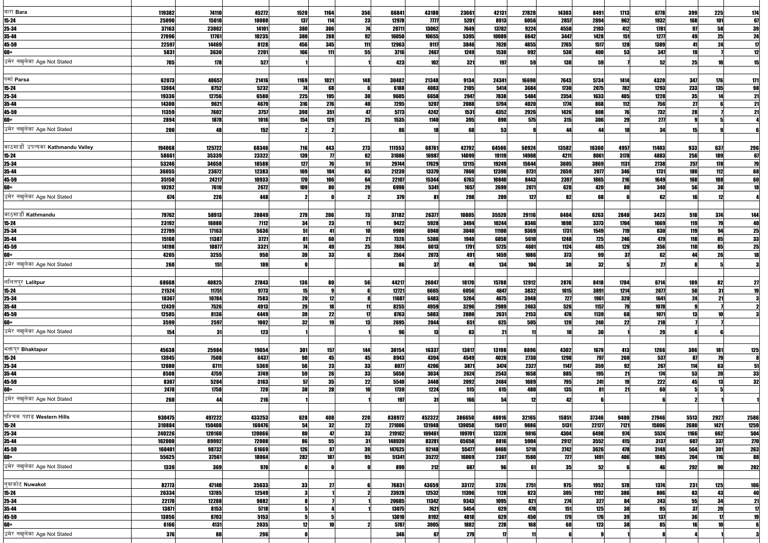| बारा Bara                              | 119382           | 74110            | 45272            | 1520                  | 1164            | 356              | 66841            | 43180            | 23661            | 42131          | 27828         | 14303           | 8491           | 1713         | 6778           | 399               | 225                                        | <u>174</u>                                                                            |
|----------------------------------------|------------------|------------------|------------------|-----------------------|-----------------|------------------|------------------|------------------|------------------|----------------|---------------|-----------------|----------------|--------------|----------------|-------------------|--------------------------------------------|---------------------------------------------------------------------------------------|
| $15 - 24$                              | 25090            | 15010            | 10080            | 137                   | 114             | 23               | 12978            | T T T T          | 5201             | 8913           | 6056          | 2857            | 2894           | 962          | 1932           | 168               | 101                                        |                                                                                       |
| 25-34                                  | 37163            | 23062            | 14101            | 380                   | 306             | 74               | 20711            | 13062            | 7649             | 13782          | 9224          | 4558            | 2193           | 412          | 1781           | 97                | 58                                         | $\begin{array}{r} 67 \\ 39 \\ 24 \\ \hline 17 \end{array}$                            |
| 35-44                                  | 27996            | 17761            | 10235            | 380                   | 288             | 92               | 16050            | 10655            | 5395             | 10089          | 6642          | 3447            | 1428           | 151          | 1277           | 49<br>41          | 25<br>24                                   |                                                                                       |
| 45-59<br>60+                           | 22597<br>5831    | 14469<br>3630    | 8128<br>2201     | 456<br><b>166</b>     | 345<br>111      | 111<br>55        | 12963<br>3716    | 9117<br>2467     | 3846<br>1249     | 7620<br>1530   | 4855<br>992   | 2765<br>538     | 1517<br>400    | 128<br>53    | 1389<br>347    | 19                |                                            | 12                                                                                    |
| उमेर नखलेका Age Not Stated             | 705              | 178              | 527              |                       |                 |                  | 423              | 102              | 321              | 197            |               | 138             | 59             |              | 52             | 25                |                                            |                                                                                       |
|                                        |                  |                  |                  |                       |                 |                  |                  |                  |                  |                |               |                 |                |              |                |                   |                                            |                                                                                       |
| पर्सा Parsa                            | 62073            | 40657            | 21416            | 1169                  | 1021            | 148              | 30482            | 21348            | 9134             | 24341          | 16698         | 7643            | 5734           | 1414         | 4320           | 347               | 176                                        | 171                                                                                   |
| $15 - 24$                              | 13984            | 8752             | 5232             | 74                    | 68              |                  | 6188             | 4083             | 2105             | 5414           | 3684          | 1730            | 2075           | 782          | 1293           | 233               | 135                                        | 98                                                                                    |
| 25-34                                  | 19336            | 12756            | 6580             | 225                   | <b>195</b>      | 30               | 9605             | 6658             | 2947             | 7838           | 5484          | 2354            | 1633           | 405          | 1228           | 35                | 14                                         |                                                                                       |
| 35-44                                  | 14300            | 9621             | 4679             | <b>316</b>            | 276             |                  | 7295             | 5207             | 2088             | 5794           | 4020          | 1774            | 868            | 112          | 756            | 27                |                                            | $\frac{21}{21}$                                                                       |
| 45-59                                  | 11359            | 7602             | 3757             | 398                   | 351             | 47               | 5773             | 4242             | 1531             | 4352           | 2926          | 1426            | 808            | 76           | 732            | 28                |                                            | 21                                                                                    |
| 60+                                    | 2894             | 1878             | 1016             | 154                   | 129             | 25               | 1535             | 1140             | 395              | 890            | 575           | 315             | 306            | 29           | 277            |                   |                                            |                                                                                       |
| उमेर नखलेका Age Not Stated             | 200              | 48               | 152              |                       |                 |                  |                  |                  | 68               | 53             |               | 44              | 44             |              | 34             | 15                |                                            |                                                                                       |
|                                        |                  |                  |                  |                       |                 |                  |                  |                  |                  |                |               |                 |                |              |                |                   |                                            |                                                                                       |
| काठमाडौं उपत्यका Kathmandu Valley      | 194068           | 125722           | 68346            | <b>716</b>            | 443             | 273              | 111553           | 68761            | 42792            | 64506          | 50924         | 13582           | 16360          | 4957         | 11403          | 933               | 637                                        | 296<br>67<br>79                                                                       |
| $15 - 24$                              | 58661            | 35339            | 23322            | 139                   | $\overline{u}$  | 62               | 31086            | 16987            | 14099            | 19119          | 14908         | 4211            | 8061           | 3178         | 4883           | 256               | 189                                        |                                                                                       |
| 25-34<br>35-44                         | 53246<br>36055   | 34658<br>23672   | 18588<br>12383   | 127<br>169            | 76<br>104       | 51<br>65         | 29744<br>21239   | 17629<br>13379   | 12115<br>7860    | 19249<br>12390 | 15644<br>9731 | 3605<br>2659    | 3869<br>2077   | 1131<br>346  | 2738<br>1731   | 257<br><b>180</b> | 178<br>112                                 |                                                                                       |
| 45-59                                  | 35150            | 24217            | 10933            | 170                   | 106             | 64               | 22107            | 15344            | 6763             | 10840          | 8443          | 2397            | 1865           | 216          | 1649           | 168               | 108                                        | $\begin{array}{c}\n 68 \\  \hline\n 60\n \end{array}$                                 |
| 60+                                    | 10282            | 7610             | 2672             | 109                   | 80              | 29               | 6998             | 5341             | 1657             | 2699           | 2071          | 628             | 420            | 80           | 340            | 56                | 38                                         | 18                                                                                    |
| उमेर नखलेका Age Not Stated             | 674              | 226              | 448              |                       |                 |                  | 379              | 81               | 298              | 209            | 127           | 82              | 68             |              | 62             |                   | 12                                         |                                                                                       |
|                                        |                  |                  |                  |                       |                 |                  |                  |                  |                  |                |               |                 |                |              |                |                   |                                            |                                                                                       |
| काठमाडौँ <b>Kathmandu</b>              | 79762            | 58913            | 20849            | 279                   | 206             | 73               | 37182            | 26377            | 10805            | 35520          | 29116         | 6404            | 6263           | 2840         | 3423           | 518               | 374                                        | <u>144</u>                                                                            |
| $15 - 24$                              | 23192            | 16080            | 7112             | 34                    | 23              |                  | 9422             | 5928             | 3494             | 10244          | 8346          | 1898            | 3373           | 1704         | 1669           | 119               | 79                                         |                                                                                       |
| 25-34                                  | 22799            | 17163            | 5636             | 51                    | 41              | 10               | 9980             | 6940             | 3040             | 11100          | 9369          | 1731            | 1549           | 719          | <b>830</b>     | 119               | 94                                         | $\begin{array}{r}\n 40 \\  \hline\n 25 \\  \hline\n 33 \\  \hline\n 25\n \end{array}$ |
| 35-44                                  | 15108            | 11387            | 3721             | 81                    | 60              | 21               | 7326             | 5386             | 1940             | 6858           | 5610          | 1248            | <b>725</b>     | 246          | 479            | 118               | 85                                         |                                                                                       |
| 45-59                                  | 14198            | 10877            | 3321             | $\mathbf{z}$          | 49              | 25               | 7804             | 6013             | 1791             | 5725           | 4601          | 1124            | 485            | 129          | 356            | 110               | 85                                         |                                                                                       |
| 60+                                    | 4205             | 3255             | 950              | -39                   | 33              |                  | 2564             | 2073             | 491              | 1459           | 1086          | 373             | 99             | 37           | 62             | М                 | 26                                         | 18                                                                                    |
| उमेर नखलेका Age Not Stated             | 260              | 151              | 109              |                       |                 |                  |                  | -37              | 49               | 134            | 104           | 30              | 32             |              | 27             |                   |                                            |                                                                                       |
|                                        |                  |                  |                  |                       |                 |                  |                  |                  |                  |                |               |                 |                |              |                |                   |                                            |                                                                                       |
| ललितपुर Lalitpur                       | 68668            | 40825            | 27843            | <b>136</b>            | 80              | 56               | 44217            | 26047            | 18170            | 15788          | 12912         | 2876            | 8418           | 1704         | 6714           | 109               | 82                                         | 27                                                                                    |
| $15 - 24$<br>25-34                     | 21524<br>18367   | 11751<br>10784   | 9773<br>7583     | 15<br>20 <sup>1</sup> | 12              |                  | 12721<br>11687   | 6665<br>6483     | 6056<br>5204     | 4847<br>4675   | 3832<br>3948  | 1015<br>727     | 3891<br>1961   | 1214<br>320  | 2677<br>1641   | 50<br>24          | 31<br>$\overline{21}$                      |                                                                                       |
| 35-44                                  | 12439            | 7526             | 4913             | 29                    | 18              |                  | 8255             | 4959             | 3296             | 2989           | 2463          | 526             | 1157           | 79           | 1078           |                   |                                            |                                                                                       |
| 45-59                                  | 12585            | 8136             | 4449             | 39                    | $\overline{22}$ |                  | 8763             | 5883             | <b>2880</b>      | 2631           | 2153          | 478             | 1139           | 68           | 1071           | 13                | 10                                         |                                                                                       |
| 60+                                    | 3599             | 2597             | 1002             | 32                    | 19              | 13               | 2695             | 2044             | 651              | 625            | 505           | 120             | 240            | 22           | 218            |                   |                                            |                                                                                       |
| उमेर नखलेका Age Not Stated             | 154              | 31               | 123              |                       |                 |                  |                  |                  | 83               | 21             |               | 10              | 30             |              | 29             |                   |                                            |                                                                                       |
|                                        |                  |                  |                  |                       |                 |                  |                  |                  |                  |                |               |                 |                |              |                |                   |                                            |                                                                                       |
| भक्तपुर Bhaktapur                      | 45638            | 25984            | 19654            | 301                   | 157             | 144              | 30154            | 16337            | 13817            | 13198          | 8896          | 4302            | 1679           | 413          | 1266           | 306               | 181                                        | 125                                                                                   |
| $15 - 24$                              | 13945            | 7508             | 6437             | 90                    | 45              | 45               | 8943             | 4394             | 4549             | 4028           | 2730          | 1298            | 797            | 260          | 537            | 87                | 79                                         |                                                                                       |
| 25-34                                  | 12080            | 6711             | 5369             | 56                    | 23              | 33               | 8077             | 4206             | 3871             | 3474           | 2327          | 1147            | 359            | 92           | 267            | 114               | 63                                         | $\overline{51}$                                                                       |
| 35-44                                  | 8508             | 4759             | 3749             | 59                    | 26              | 33               | 5658             | 3034             | 2624             | 2543           | 1658          | 885             | 195            | 21           | 174            | 53                | 20                                         | $\begin{array}{c}\n\overline{\mathbf{33}} \\ \overline{\mathbf{32}}\n\end{array}$     |
| 45-59                                  | 8367             | 5204             | 3163             | 57                    | 35              | 22               | 5540             | 3448             | 2092             | 2484           | 1689          | 795             | 241            | 19           | 222            | 45                | 13                                         |                                                                                       |
| 60+                                    | 2478             | 1758             | 720              | 38                    | 28              | 10               | 1739             | 1224             | 515              | 615            | 480           | 135             | 81             | 21           | 60             |                   |                                            |                                                                                       |
| उमेर नखलेका Age Not Stated             | 260              | 44               | 216              |                       |                 |                  | 197              | 31               | 166              | 54             | 12            | 42              |                |              |                |                   |                                            |                                                                                       |
|                                        |                  |                  |                  |                       |                 |                  |                  |                  |                  |                |               |                 |                |              |                |                   |                                            |                                                                                       |
| पश्चिम पहाड Western Hills<br>$15 - 24$ | 930475<br>310884 | 497222<br>150408 | 433253<br>160476 | 628<br>54             | 408<br>32       | <b>220</b><br>22 | 838972<br>271006 | 452322<br>131948 | 386650<br>139058 | 48016<br>15017 | 32165<br>9886 | 15851<br>5131   | 37346<br>22127 | 9400<br>7121 | 27946<br>15006 | 5513<br>2680      | 2927<br>1421                               | 2586<br>1259                                                                          |
| 25-34                                  | 240226           | 120160           | 120066           | 80                    | 47              | 33               | 219162           | 109461           | 109701           | 13320          | 9016          | 4304            | 6498           | 974          | 5524           | 1166              | 662                                        | 504                                                                                   |
| 35-44                                  | 162000           | 89992            | 72008            | 86                    | 55              | 31               | 148939           | 83281            | 65658            | 8816           | 5904          | 2912            | 3552           | 415          | 3137           | 607               | 337                                        | 270                                                                                   |
| 45-59                                  | 160401           | 98732            | 61669            | 126                   | 87              | 39               | 147625           | 92148            | 55477            | 8460           | 5718          | 2742            | 3626           | 478          | 3148           | 564               | 301                                        | 263                                                                                   |
| 60+                                    | 55625            | 37561            | 18064            | 282                   | 187             | 95               | 51341            | 35272            | 16069            | 2307           | 1580          | 727             | 1491           | 406          | 1085           | 204               | 116                                        | 88                                                                                    |
| उमेर नखलेका Age Not Stated             | 1339             | 369              | 970              |                       |                 |                  | 899              | 212              | 687              | 96             |               | 35 <sub>l</sub> | 52             |              | 46             | 292               | 90                                         | 202                                                                                   |
|                                        |                  |                  |                  |                       |                 |                  |                  |                  |                  |                |               |                 |                |              |                |                   |                                            |                                                                                       |
| नुवाकोट Nuwakot                        | 82773            | 47140            | 35633            | 33                    | 27              |                  | 76831            | 43659            | 33172            | 3726           | 2751          | 975             | 1952           | 578          | 1374           | 231               | 125                                        | 106                                                                                   |
| $15 - 24$                              | 26334            | 13785            | 12549            |                       |                 |                  | 23928            | 12532            | 11396            | 1128           | 823           | 305             | 1192           | <b>386</b>   | 806            | 83                | 43                                         | $\frac{40}{21}$                                                                       |
| 25-34                                  | 22170            | 12288            | 9882             |                       |                 |                  | 20685            | 11342            | 9343             | 1095           | 821           | 274             | 327            | 84           | 243            | 55                | 34                                         |                                                                                       |
| 35-44                                  | 13871            | 8153             | 5718             |                       |                 |                  | 13075            | 7621             | 5454             | 629            | 478           | 151             | 125            | 30           | 95             | 37                | 20                                         | $\overline{17}$                                                                       |
| 45-59<br>60+                           | 13856<br>6166    | 8703<br>4131     | 5153<br>2035     | 12                    | 10              |                  | 13010<br>5787    | 8192<br>3905     | 4818<br>1882     | 629<br>228     | 450<br>168    | 179<br>60       | 176<br>123     | 39<br>38     | 137<br>85      | 36                | $\overline{\mathbf{u}}$<br>10 <sup>1</sup> |                                                                                       |
|                                        |                  |                  |                  |                       |                 |                  |                  |                  |                  |                |               |                 |                |              |                |                   |                                            |                                                                                       |
| उमेर नखुलेका Age Not Stated            | 376              | 80               | 296              |                       |                 |                  | 346              | 67               | 279              |                |               |                 |                |              |                |                   |                                            |                                                                                       |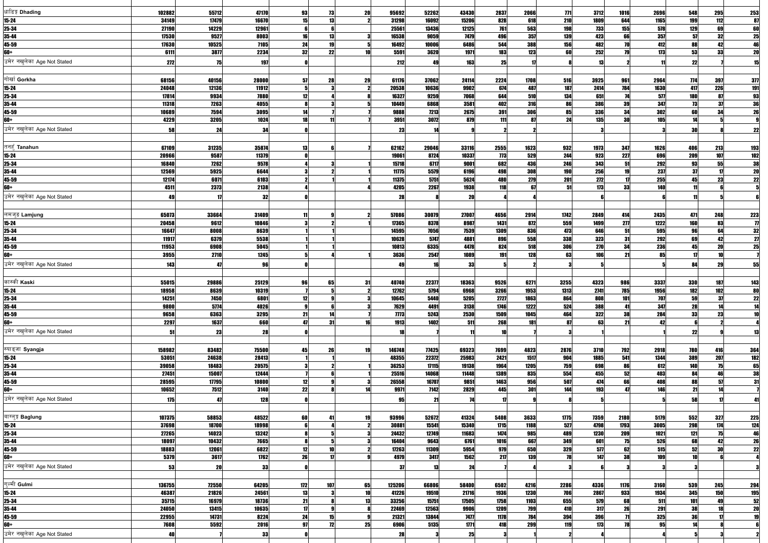| धाडिङ्ग Dhading                   | 102882          | 55712          | 47170          | 93<br>73           | 20       | 95692           | 52262          | 43430                | 2837         | 2066         | 771         | 3712         | 1016            | 2696             | 548        | 295        | 253                                                                                    |
|-----------------------------------|-----------------|----------------|----------------|--------------------|----------|-----------------|----------------|----------------------|--------------|--------------|-------------|--------------|-----------------|------------------|------------|------------|----------------------------------------------------------------------------------------|
| $15 - 24$                         | 34149           | 17479          | 16670          | 15<br>13           |          | 31298           | 16092          | 15206                | 828          | 618          | 210         | 1809         | 644             | 1165             | 199        | 112        |                                                                                        |
| 25-34                             | 27190<br>17530  | 14229<br>9527  | 12961          | 13<br>16           |          | 25561<br>16538  | 13436<br>9059  | 12125<br><b>7479</b> | 761<br>496   | 563<br>357   | 198<br>139  | 733<br>423   | 155<br>66       | 578<br>357       | 129<br>57  | 69<br>32   |                                                                                        |
| 35-44<br>45-59                    | 17630           | 10525          | 8003<br>7105   | 19<br>24           |          | 16492           | 10006          | 6486                 | 544          | 388          | 156         | 482          |                 | 412              | 88         | 42         | $\begin{array}{r} 87 \\ 60 \\ 25 \\ \hline 46 \\ 20 \end{array}$                       |
| 60+                               | 6111            | 3877           | 2234           | 22<br>32           |          | 5591            | 3620           | 1971                 | 183          | 123          | 60          | 252          |                 | 173              | 53         | 33         |                                                                                        |
| उमेर नखलेका Age Not Stated        | 272             | 75             | 197            |                    |          | 212             | 49             | 163                  | 25           |              |             | 13           |                 |                  | 22         |            |                                                                                        |
|                                   |                 |                |                |                    |          |                 |                |                      |              |              |             |              |                 |                  |            |            |                                                                                        |
| गोर्खा Gorkha                     | 68156           | 40156          | 28000          | 28<br>57           | 29       | 61176           | 37062          | 24114                | 2224         | 1708         | 516         | 3925         | 961             | 2964             | 774        | <b>397</b> | 377                                                                                    |
| $15 - 24$                         | 24048           | 12136          | 11912          |                    |          | 20538           | 10636          | 9902                 | 674          | 487          | 187         | 2414         | 784             | 1630             | 417        | 226        |                                                                                        |
| 25-34                             | 17814           | 9934           | 7880           | 12                 |          | 16327           | 9259           | 7068                 | 644          | 510          | 134         | 651          |                 | 577              | <b>180</b> | 87         | $\begin{array}{r}\n\hline\n191 \\ \hline\n93 \\ \hline\n36 \\ \hline\n26\n\end{array}$ |
| 35-44<br>45-59                    | 11318<br>10689  | 7263<br>7594   | 4055<br>3095   |                    |          | 10449<br>9888   | 6868<br>7213   | 3581<br>2675         | 402<br>391   | 316<br>306   | 86<br>85    | 386<br>336   | 39<br>34        | 347<br>302       | 73<br>60   | 37<br>34   |                                                                                        |
| 60+                               | 4229            | 3205           | 1024           | 11                 |          | 3951            | 3072           | 879                  | 111          | 87           | 24          | 135          | 30 <sup>1</sup> | 105              | 14         |            |                                                                                        |
| उमेर नखलेका Age Not Stated        | 58              | 24             | 34             |                    |          | 23              |                |                      |              |              |             |              |                 |                  | 30         |            | 22                                                                                     |
|                                   |                 |                |                |                    |          |                 |                |                      |              |              |             |              |                 |                  |            |            |                                                                                        |
| तनहँ Tanahun                      | 67109           | 31235          | 35874          | 13                 |          | 62162           | 29046          | 33116                | 2555         | 1623         | 932         | 1973         | 347             | 1626             | 406        | 213        | <b>193</b>                                                                             |
| $15 - 24$                         | 20966           | 9587           | 11379          |                    |          | 19061           | 8724           | 10337                | 773          | 529          | 244         | 923          | 227             | 696              | <b>209</b> | 107        |                                                                                        |
| 25-34                             | 16840           | 7262           | 9578           |                    |          | 15718           | 6717           | 9001                 | 682          | 436          | 246         | 343          | 51              | 292              | 93         | 55         |                                                                                        |
| 35-44                             | 12569           | 5925           | 6644           |                    |          | 11775           | 5579           | 6196                 | 498          | 308          | 190         | 256          | 19              | 237              | -37<br>45  | 17<br>23   | $\begin{array}{r} \hline 102 \\ \hline 38 \\ \hline 20 \\ \hline 22 \end{array}$       |
| 45-59<br>60+                      | 12174<br>4511   | 6071<br>2373   | 6103<br>2138   |                    |          | 11375<br>4205   | 5751<br>2267   | 5624<br>1938         | 480<br>118   | 279          | 201<br>51   | 272<br>173   | 33              | 255<br>140       |            |            |                                                                                        |
| उमेर नखलेका Age Not Stated        | 49              |                | 32             |                    |          | 28              |                | 20                   |              |              |             |              |                 |                  |            |            |                                                                                        |
|                                   |                 |                |                |                    |          |                 |                |                      |              |              |             |              |                 |                  |            |            |                                                                                        |
| लमजुङ Lamjung                     | 65073           | 33664          | 31409          |                    |          | 57086           | 30079          | 27007                | 4656         | 2914         | 1742        | 2849         | 414             | 2435             | 471        | 248        |                                                                                        |
| $15 - 24$                         | 20458           | 9612           | 10846          |                    |          | 17365           | 8378           | 8987                 | 1431         | 872          | 559         | 1499         | 277             | 1222             | 160        | 83         | $\begin{array}{r} 223 \\ \hline 77 \\ \hline 32 \\ \hline 27 \\ \hline 25 \end{array}$ |
| 25-34                             | 16647           | 8008           | 8639           |                    |          | 14595           | 7056           | 7539                 | 1309         | 836          | 473         | 646          | 51              | 595              | 96         | 64         |                                                                                        |
| 35-44                             | 11917           | 6379           | 5538           |                    |          | 10628           | 5747           | 4881                 | 896          | 558          | 338         | 323          | 31              | 292              | 69         | 42         |                                                                                        |
| 45-59<br>60+                      | 11953<br>3955   | 6908<br>2710   | 5045<br>1245   |                    |          | 10813<br>3636   | 6335<br>2547   | 4478<br>1089         | 824<br>191   | 518<br>128   | 306<br>63   | 270<br>106   | 34<br>21        | <b>236</b><br>85 | 45         | 20<br>10   |                                                                                        |
| उमेर नखलेका Age Not Stated        |                 | 47             | 96             |                    |          |                 |                | 33                   |              |              |             |              |                 |                  | 84         | 29         | 55                                                                                     |
|                                   | 143             |                |                |                    |          |                 |                |                      |              |              |             |              |                 |                  |            |            |                                                                                        |
| कास्की Kaski                      | 55015           | 29886          | 25129          | 65<br>96           | 31       | 40740           | 22377          | 18363                | 9526         | 6271         | 3255        | 4323         | 986             | 3337             | 330        | 187        | <b>143</b>                                                                             |
| $15 - 24$                         | 18958           | 8639           | 10319          |                    |          | 12762           | 5794           | 6968                 | 3266         | 1953         | 1313        | 2741         | 785             | <b>1956</b>      | 182        | 102        |                                                                                        |
| 25-34                             | 14251           | 7450           | 6801           | 12                 |          | 10645           | 5440           | 5205                 | 2727         | 1863         | 864         | 808          | 101             | 707              | 59         | 37         | $\begin{array}{c}\n 80 \\  \hline\n 22\n \end{array}$                                  |
| 35-44                             | 9800            | 5774           | 4026           |                    |          | 7629            | 4491           | 3138                 | 1746         | 1222         | 524         | 388          | 41              | 347              | <b>28</b>  | 14         | $\frac{14}{10}$                                                                        |
| 45-59<br>60+                      | 9658<br>2297    | 6363<br>1637   | 3295<br>660    | 21<br>31<br>Δ7     | 16       | 7773<br>1913    | 5243<br>1402   | 2530                 | 1509<br>268  | 1045         | 464<br>87   | 322<br>63    | 38<br>21        | 284<br>42        | 33         | 23         |                                                                                        |
| उमेर नखलेका Age Not Stated        |                 |                |                |                    |          |                 |                | 511                  |              | 181          |             |              |                 |                  |            |            |                                                                                        |
|                                   | 51              | 23             | 28             |                    |          |                 |                |                      |              |              |             |              |                 |                  | 22         |            |                                                                                        |
| स्याङ्जा Syangja                  | 158982          | 83482          | 75500          | 45<br>26           | 19       | 146748          | 77425          | 69323                | 7699         | 4823         | 2876        | 3710         | 792             | 2918             | 780        | 416        | 364                                                                                    |
| $15 - 24$                         | 53051           | 24638          | 28413          |                    |          | 48355           | 22372          | 25983                | 2421         | 1517         | 904         | 1885         | 541             | 1344             | 389        | 207        |                                                                                        |
| 25-34                             | 39058           | 18483          | 20575          |                    |          | 36253           | 17115          | 19138                | 1964         | 1205         | 759         | 698          | 86              | 612              | 140        | 75         |                                                                                        |
| 35-44                             | 27451           | 15007          | 12444          |                    |          | 25516           | 14068          | 11448                | 1389         | 835          | 554         | 455          | 52              | 403              | 84         | 46         | $\begin{array}{r}\n\hline\n182 \\ \hline\n65 \\ \hline\n38 \\ \hline\n31\n\end{array}$ |
| 45-59                             | 28595           | 17795          | 10800          | 12                 |          | 26558           | 16707          | 9851                 | 1463         | 956          | 507         | 474          | 66              | 408              | 88         | 57         |                                                                                        |
| 60+<br>उमेर नखलेका Age Not Stated | 10652           | 7512           | 3140           | 22                 | 14       | 9971            | 7142           | 2829                 | 445          | 301          | 144         | 193          | 47              | 146              | 21         | 14         |                                                                                        |
|                                   | 175             | 47             | 128            |                    |          | 95              | 21             |                      |              |              |             |              |                 |                  | 58         |            |                                                                                        |
| बाग्लुङ्ग Baglung                 | 107375          | 58853          | 48522          | 60<br>41           | 19       | 93996           | 52672          | 41324                | 5408         | 3633         | 1775        | 7359         | 2180            | 5179             | 552        | 327        | 225                                                                                    |
| $15 - 24$                         | 37698           | 18700          | 18998          |                    |          | 30881           | 15541          | 15340                | 1715         | 1188         | 527         | 4798         | 1793            | 3005             | 298        | 174        |                                                                                        |
| 25-34                             | 27265           | 14023          | 13242          |                    |          | 24432           | 12749          | 11683                | 1474         | 985          | 489         | 1230         | 209             | 1021             | $121$      | 75         | $\frac{124}{46}$                                                                       |
| 35-44                             | 18097           | 10432          | 7665           |                    |          | 16404           | 9643           | 6761                 | 1016         | 667          | 349         | 601          | 75              | 526              | 68         | 42         | $\begin{array}{r} \hline 26 \\ \hline 22 \end{array}$                                  |
| 45-59                             | 18883           | 12061          | 6822           | 10<br>12           |          | 17263           | 11309          | 5954                 | 979          | 650          | 329         | 577          | 62              | 515              | 52         | 30         |                                                                                        |
| 60+                               | 5379            | 3617           | 1762           | 26<br>$\mathbf{u}$ |          | 4979            | 3417           | 1562                 | 217          | 139          | 78          | 147          | 38              | 109              |            |            |                                                                                        |
| उमेर नखलेका Age Not Stated        | 53              | 20             | 33             |                    |          |                 | 13             | 24                   |              |              |             |              |                 |                  |            |            |                                                                                        |
|                                   |                 |                |                |                    |          |                 |                |                      |              |              |             |              |                 |                  |            |            |                                                                                        |
| गल्मी Gulmi<br>$15 - 24$          | 136755<br>46387 | 72550<br>21826 | 64205<br>24561 | 172<br>107<br>13   | 65<br>10 | 125206<br>41226 | 66806<br>19510 | 58400<br>21716       | 6502<br>1936 | 4216<br>1230 | 2286<br>706 | 4336<br>2867 | 1176<br>933     | 3160<br>1934     | 539<br>345 | 245<br>150 | 294<br><u>195</u>                                                                      |
| 25-34                             | 35715           | 16979          | 18736          | 21                 | 13       | 33256           | 15751          | 17505                | 1758         | 1103         | 655         | 579          | 68              | 511              | 101        | 49         |                                                                                        |
| 35-44                             | 24050           | 13415          | 10635          | $\mathbf{17}$      |          | 22469           | 12563          | 9906                 | 1209         | 799          | 410         | 317          | 26              | 291              | 38         | 18         | $\begin{array}{c}\n\overline{\mathbf{52}} \\ \overline{\mathbf{20}}\n\end{array}$      |
| 45-59                             | 22955           | 14731          | 8224           | 15<br>24           |          | 21321           | 13844          | <b>7477</b>          | 1178         | 784          | 394         | 396          |                 | 325              | 36         |            | 19                                                                                     |
| 60+                               | 7608            | 5592           | 2016           | 12<br>97           | 25       | 6906            | 5135           | 1771                 | 418          | 299          | <b>119</b>  | 173          | 78              | 95               | 14         |            |                                                                                        |
| उमेर नखुलेका Age Not Stated       | 40              |                | 33             |                    |          | 28              |                | 25                   |              |              |             |              |                 |                  |            |            |                                                                                        |
|                                   |                 |                |                |                    |          |                 |                |                      |              |              |             |              |                 |                  |            |            |                                                                                        |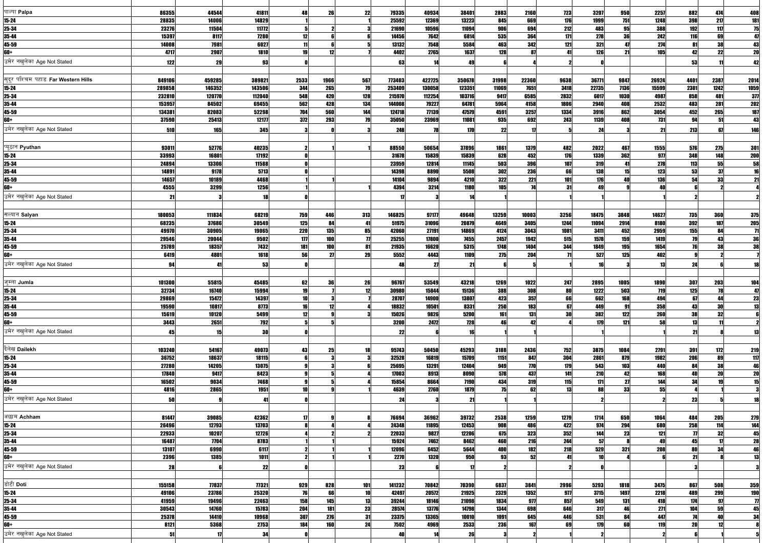| पाल्पा Palpa                        | 86355           | 44544           | 41811          | 48         | 26         | 22        | 79335           | 40934          | 38401          | 2883         | 2160       | <b>723</b>  | 3207         | 950        | 2257        | 882                 | 474                 | 408                                                                                               |
|-------------------------------------|-----------------|-----------------|----------------|------------|------------|-----------|-----------------|----------------|----------------|--------------|------------|-------------|--------------|------------|-------------|---------------------|---------------------|---------------------------------------------------------------------------------------------------|
| $15 - 24$                           | 28835           | 14006           | 14829          |            |            |           | 25592           | 12369          | 13223          | 845          | 669        | 176         | 1999         | 751        | 1248        | 398                 | 217                 | $\begin{array}{r} \hline 181 \\ \hline 75 \\ \hline 41 \end{array}$                               |
| 25-34                               | 23276           | 11504           | 11772          |            |            |           | 21690           | 10596          | 11094          | 906          | 694        | 212         | 483          | 95         | 388         | 192                 | 117                 |                                                                                                   |
| 35-44                               | 15397           | 8117            | 7280           | 12         |            |           | 14456           | 7642           | 6814           | 535          | 364        | 171         | 278          | 36         | 242         | 116                 | 69                  |                                                                                                   |
| 45-59                               | 14008           | 7981            | 6027           |            |            |           | 13132           | 7548           | 5584           | 463          | 342        | 121         | 321          |            | 274         | 81                  | 38                  |                                                                                                   |
| <b>60+</b>                          | 4717            | 2907            | 1810           | 19         | 12         |           | 4402            | 2765           | 1637           | 128          | 87         |             | 126          | 21         | 105         | 42                  | 22                  | $\frac{43}{20}$                                                                                   |
| उमेर नखलेका Age Not Stated          | 122             | 29              | 93             |            |            |           | 63              |                | 49             |              |            |             |              |            |             | 53                  |                     | 42                                                                                                |
|                                     |                 |                 |                |            |            |           |                 |                |                |              |            |             |              |            |             |                     |                     |                                                                                                   |
| सुदूर पश्चिम पहाड Far Western Hills |                 |                 |                |            |            |           |                 |                |                |              |            |             |              |            |             |                     |                     |                                                                                                   |
|                                     | 849106          | 459285          | 389821         | 2533       | 1966       | 567<br>79 | 773403          | 422725         | 350678         | 31998        | 22360      | 9638        | 36771        | 9847       | 26924       | 4401                | 2387                | 2014                                                                                              |
| $15 - 24$                           | 289858          | 146352          | 143506         | 344        | 265        |           | 253409          | 130058         | 123351         | 11069        | 7651       | 3418        | 22735        | 7136       | 15599       | 2301                | 1242                | 1059                                                                                              |
| 25-34                               | 232810          | 120770          | 112040         | 548        | 420        | 128       | 215970          | 112254         | 103716         | 9417         | 6585       | 2832        | 6017         | 1030       | 4987        | 858                 | 481                 | 311                                                                                               |
| 35-44<br>45-59                      | 153957          | 84502           | 69455          | 562        | 428<br>560 | 134       | 144008          | 79227          | 64781          | 5964<br>4591 | 4158       | 1806        | 2940         | 408        | 2532        | 483                 | 281<br>265          | 202                                                                                               |
| <b>60+</b>                          | 134381<br>37590 | 82083<br>25413  | 52298<br>12177 | 704        | 293        | 144<br>79 | 124718<br>35050 | 77139<br>23969 | 47579<br>11081 |              | 3257       | 1334<br>243 | 3916<br>1139 | 862<br>408 | 3054<br>731 | 452                 | 51                  | <b>187</b><br>43                                                                                  |
|                                     |                 |                 |                | 372        |            |           |                 |                |                | 935          | 692        |             |              |            |             | 94                  |                     |                                                                                                   |
| उमेर नखलेका Age Not Stated          | 510             | <b>165</b>      | 345            |            |            |           | 248             | 78             | 170            | 22           |            |             | 24           |            | 21          | 213                 | 67                  | 146                                                                                               |
|                                     |                 |                 |                |            |            |           |                 |                |                |              |            |             |              |            |             |                     |                     |                                                                                                   |
| प्यूठान Pyuthan                     | 93011           | 52776           | 40235          |            |            |           | 88550           | 50654          | 37896          | 1861         | 1379       | 482         | 2022         | 467        | 1555        | 576                 | 275                 | <b>301</b>                                                                                        |
| $15 - 24$                           | 33993           | 16801           | 17192          |            |            |           | 31678           | 15839          | 15839          | 628          | 452        | 176         | 1339         | 362        | 977         | 348                 | 148                 | 200                                                                                               |
| 25-34                               | 24894           | 13306           | 11588          |            |            |           | 23959           | 12814          | 11145          | 503          | 396        | 107         | 319          |            | 278         | 113                 | 55                  | $\begin{array}{r}\n 58 \\  \hline\n 16\n \end{array}$                                             |
| 35-44                               | 14891           | 9178            | 5713           |            |            |           | 14398           | 8890           | 5508           | 302          | 236        | 66          | 138          |            | 123         | 53                  | 37                  |                                                                                                   |
| 45-59                               | 14657           | 10189           | 4468           |            |            |           | 14104           | 9894           | 4210           | 322          | 221        | 101         | 176          |            | 136         | 54                  | 33                  | 21                                                                                                |
| <b>60+</b>                          | 4555            | 3299            | 1256           |            |            |           | 4394            | 3214           | 1180           | 105          | <b>74</b>  | 31          | 49           |            | 40          |                     |                     |                                                                                                   |
| उमेर नखुलेका Age Not Stated         | 21              |                 | 18             |            |            |           |                 |                |                |              |            |             |              |            |             |                     |                     |                                                                                                   |
|                                     |                 |                 |                |            |            |           |                 |                |                |              |            |             |              |            |             |                     |                     |                                                                                                   |
|                                     |                 |                 |                |            |            |           |                 |                |                |              |            |             |              |            |             |                     |                     |                                                                                                   |
| सल्यान Salyan                       | 180053          | 111834          | 68219          | 759        | 446        | 313       | 146825          | 97177          | 49648          | 13259        | 10003      | 3256        | 18475        | 3848       | 14627       | 735                 | <b>360</b>          | 375                                                                                               |
| $15 - 24$                           | 68235           | 37686           | 30549          | 125        | 84         | 41        | 51975           | 31096          | 20879          | 4649         | 3405       | 1244        | 11094        | 2914       | 8180        | 392                 | 187                 | <b>205</b>                                                                                        |
| 25-34                               | 49970           | 30905           | 19065          | <b>220</b> | 135        | 85        | 42060           | 27191          | 14869          | 4124         | 3043       | 1081        | 3411         | 452        | 2959        | 155                 | 84                  | $\begin{array}{ c c }\hline \hline 71 \\ \hline 36 \\ \hline \end{array}$                         |
| 35-44                               | 29546           | 20044           | 9502           | 177        | 100        |           | 25255           | 17800          | 7455           | 2457         | 1942       | 515         | 1578         | 159        | 1419        | 79                  | 43                  |                                                                                                   |
| 45-59                               | 25789           | 18357           | 7432           | 181        | 100        | 81        | 21935           | 16620          | 5315           | 1748         | 1404       | 344         | 1849         | 195        | 1654        | 76                  | 38                  | 38                                                                                                |
| <b>60+</b>                          | 6419            | 4801            | 1618           | 56         | 27         | 29        | 5552            | 4443           | 1109           | <b>275</b>   | 204        |             | 527          | 125        | 402         |                     |                     |                                                                                                   |
| उमेर नखलेका Age Not Stated          | 94              | 41              | 53             |            |            |           |                 | 27             | 21             |              |            |             |              |            | 13          | 24                  |                     |                                                                                                   |
|                                     |                 |                 |                |            |            |           |                 |                |                |              |            |             |              |            |             |                     |                     |                                                                                                   |
| जुम्ला Jumla                        | 101300          | 55815           | 45485          | 62         | 36         | 26        | 96767           | 53549          | 43218          | 1269         | 1022       | 247         | 2895         | 1005       | 1890        | <b>307</b>          | 203                 | 104                                                                                               |
| $15 - 24$                           | 32734           | 16740           | 15994          | 19         |            | 12        | 30980           | 15844          | 15136          | 388          | 308        | 80          |              | 503        | 719         | 125                 | 78                  |                                                                                                   |
| 25-34                               | 29869           | 15472           | 14397          | 10         |            |           | 28707           | 14900          | 13807          | 423          | 357        | 66          | 1222<br>662  | 168        | 494         | 67                  | 44                  | $\frac{47}{23}$                                                                                   |
| 35-44                               | 19590           | 10817           | 8773           | 16         | 12         |           | 18832           | 10501          | 8331           | 250          | 183        | 67          | 449          | 91         | 358         | 43                  | 30                  |                                                                                                   |
| 45-59                               | 15619           | 10120           | 5499           | 12         |            |           | 15026           | 9826           | 5200           | 161          | 131        | <b>30</b>   | 382          | 122        | 260         | 38                  | 32                  | $\overline{13}$                                                                                   |
| 60+                                 |                 | 2651            | 792            |            |            |           | 3200            | 2472           | 728            | 46           | 42         |             |              | 121        | 58          | 13                  |                     |                                                                                                   |
|                                     | 3443            |                 |                |            |            |           |                 |                |                |              |            |             | 179          |            |             |                     |                     |                                                                                                   |
| उमेर नखलेका Age Not Stated          | 45              | 15 <sup>1</sup> | 30             |            |            |           | 22              |                | 16             |              |            |             |              |            |             | 21                  |                     | 13                                                                                                |
|                                     |                 |                 |                |            |            |           |                 |                |                |              |            |             |              |            |             |                     |                     |                                                                                                   |
| दैलेख Dailekh                       | 103240          | 54167           | 49073          | 43         | 25         | 18        | 95743           | 50450          | 45293          | 3188         | 2436       | 752         | 3875         | 1084       | 2791        | 391                 | 172                 |                                                                                                   |
| $15 - 24$                           | 36752           | 18637           | 18115          |            |            |           | 32528           | 16819          | 15709          | 1151         | 847        | 304         | 2861         | 879        | 1982        | 206                 | 89                  |                                                                                                   |
| 25-34                               | 27280           | 14205           | 13075          |            |            |           | 25695           | 13291          | 12404          | 949          | <b>770</b> | 179         | 543          | 103        | 440         | 84                  | 38                  |                                                                                                   |
| 35-44                               | 17840           | 9417            | 8423           |            |            |           | 17003           | 8913           | 8090           | 578          | 437        | 141         | 210          | 42         | 168         | 40                  | 20                  |                                                                                                   |
| 45-59                               | 16502           | 9034            | 7468           |            |            |           | 15854           | 8664           | 7190           | 434          | 319        | 115         | 171          | 27         | 144         | 34                  | 19                  | $\begin{array}{r}\n 219 \\  \hline\n 117 \\  \hline\n 46 \\  \underline{20} \\  15\n \end{array}$ |
| 60+                                 | 4816            | 2865            | 1951           | 10         |            |           | 4639            | 2760           | 1879           | 75           | 62         | 13          | 88           | 33         | 55          |                     |                     |                                                                                                   |
| उमेर नखलेका Age Not Stated          | 50              |                 |                |            |            |           | 24              |                | 21             |              |            |             |              |            |             | 23                  |                     |                                                                                                   |
|                                     |                 |                 |                |            |            |           |                 |                |                |              |            |             |              |            |             |                     |                     |                                                                                                   |
|                                     |                 |                 |                |            |            |           |                 |                |                |              |            |             |              |            |             |                     |                     |                                                                                                   |
| अछाम Achham                         | 81447           | 39085           | 42362          |            |            |           | 76694           | 36962          | 39732          | 2538         | 1259       | 1279        | 1714         | 650        | 1064        | 484                 | 205                 | 279                                                                                               |
| $15 - 24$                           | 26496           | 12793           | 13703          |            |            |           | 24348           | 11895          | 12453          | 908          | 486        | 422         | 974          | 294        | 680         | 258                 | 114                 | $\frac{144}{45}$                                                                                  |
| 25-34                               | 22933           | 10207           | 12726          |            |            |           | 22033           | 9827           | 12206          | 675          | 323        | 352         | 144          | 23         | 121         | $\boldsymbol{\eta}$ | 32                  |                                                                                                   |
| 35-44                               | 16487           | 7704            | 8783           |            |            |           | 15924           | 7462           | 8462           | 460          | 216        | 244         | 57           |            | 49          | 45                  | $\boldsymbol{\eta}$ | $\begin{array}{r}\n 28 \\  \hline\n 46 \\  \hline\n 13\n \end{array}$                             |
| 45-59                               | 13107           | 6990            | 6117           |            |            |           | 12096           | 6452           | 5644           | 400          | 182        | 218         | 529          | 321        | 208         | 80                  | 34                  |                                                                                                   |
| 60+                                 | 2396            | 1385            | 1011           |            |            |           | 2270            | 1320           | 950            | 93           | 52         |             |              |            |             | 21                  |                     |                                                                                                   |
| उमेर नखलेका Age Not Stated          | 28              |                 | 22             |            |            |           | 23              |                |                |              |            |             |              |            |             |                     |                     |                                                                                                   |
|                                     |                 |                 |                |            |            |           |                 |                |                |              |            |             |              |            |             |                     |                     |                                                                                                   |
| डोटी Doti                           | 155158          | 77837           | 77321          | 929        | 828        | 101       | 141232          | 70842          | 70390          | 6837         | 3841       | 2996        | 5293         | 1818       | 3475        | 867                 | 508                 | 359                                                                                               |
| $15 - 24$                           | 49106           | 23786           | 25320          | 76         | 66         |           | 42497           | 20572          | 21925          | 2329         | 1352       | 977         | 3715         | 1497       | 2218        | 489                 | 299                 |                                                                                                   |
|                                     |                 |                 |                |            |            |           |                 |                |                |              |            |             |              |            |             |                     | 97                  | <u>190</u>                                                                                        |
| 25-34                               | 41959           | 19496           | 22463          | 158        | 145        | 13        | 39244           | 18146          | 21098          | 1834         | 977        | 857         | 549          | 131        | 418         | 174                 |                     | $\overline{\boldsymbol{n}}$                                                                       |
| 35-44                               | 30543           | 14760           | 15783          | 204        | <b>181</b> | 23        | 28574           | 13776          | 14798          | 1344         | 698        | 646         | 317          | 46         | 271         | 104                 | 59                  | 45                                                                                                |
| 45-59                               | 25378           | 14410           | 10968          | 307        | 276        | 31        | 23375           | 13365          | 10010          | 1091         | 645        | 446         | 531          | 84         | 447         | 74                  | 40                  | 34                                                                                                |
| 60+                                 | 8121            | 5368            | 2753           | 184        | <b>160</b> | 24        | 7502            | 4969           | 2533           | 236          | 167        | 69          | 179          | 60         | 119         | 20                  | 12                  |                                                                                                   |
| उमेर नखुलेका Age Not Stated         | 51              |                 | 34             |            |            |           |                 |                | 26             |              |            |             |              |            |             |                     |                     |                                                                                                   |
|                                     |                 |                 |                |            |            |           |                 |                |                |              |            |             |              |            |             |                     |                     |                                                                                                   |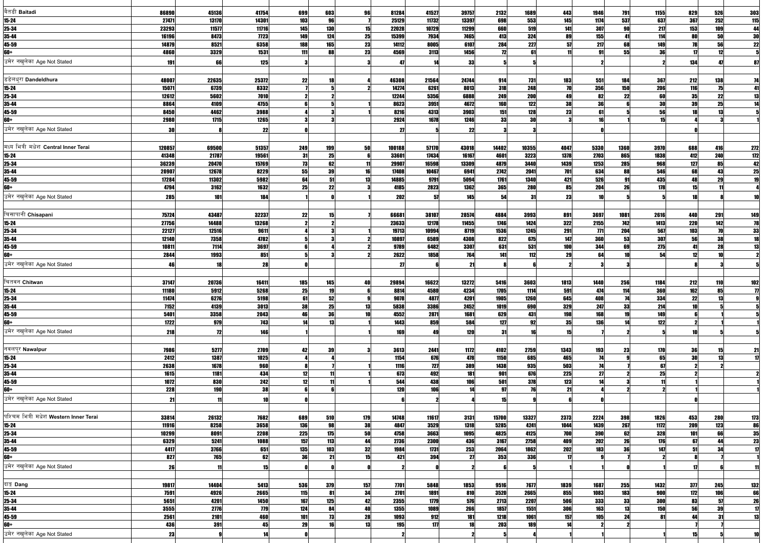| बैतडी Baitadi                                 | 86890         | 45136             | 41754       | 699        | 603                                                   | 96       | 81284              | 41527        | 39757       | 2132         | 1689         | 443        | 1946            | 791             | 1155       | 829                | 526             | 303                                                                                     |
|-----------------------------------------------|---------------|-------------------|-------------|------------|-------------------------------------------------------|----------|--------------------|--------------|-------------|--------------|--------------|------------|-----------------|-----------------|------------|--------------------|-----------------|-----------------------------------------------------------------------------------------|
| $15 - 24$                                     | 27471         | 13170             | 14301       | 103        | 96                                                    |          | 25129              | 11732        | 13397       | 698          | 553          | 145        | 1174            | 537             | 637        | 367                | 252             | $\begin{array}{r} 115 \\ \hline 44 \\ \hline 30 \\ 22 \end{array}$                      |
| 25-34                                         | 23293         | 11577             | 11716       | 145        | 130                                                   | 15       | 22028              | 10729        | 11299       | 660          | 519          | 141        | 307             | 90              | 217        | 153                | 109             |                                                                                         |
| 35-44                                         | 16196         | 8473              | <b>7723</b> | <b>149</b> | 124                                                   | 25       | 15399              | 7934         | 7465        | 413          | 324          | 89         | 155             | 41              | 114        | 80                 | 50              |                                                                                         |
| 45-59                                         | 14879         | 8521              | 6358        | 188        | 165                                                   | 23       | 14112              | 8005         | 6107        | 284          | 227          | 57         | 217             | 68              | 149        |                    | 56              |                                                                                         |
| 60+                                           | 4860          | 3329              | 1531        | 111        | 88                                                    | 23       | 4569               | 3113         | 1456        | 12           |              |            | 91              | 55              | 36         | 17                 | 12              |                                                                                         |
| उमेर नखलेका Age Not Stated                    | 191           | 66                | 125         |            |                                                       |          |                    |              | 33          |              |              |            |                 |                 |            | 134                |                 |                                                                                         |
|                                               |               |                   |             |            |                                                       |          |                    |              |             |              |              |            |                 |                 |            |                    |                 |                                                                                         |
| डडेलध्रा Dandeldhura                          | 48007         | 22635             | 25372       | 22         | 18                                                    |          | 46308              | 21564        | 24744       | 914          | 731          | 183        | 551             | 184             | <b>367</b> | 212                | 138             | 74                                                                                      |
| $15 - 24$                                     | 15071         | 6739              | 8332        |            |                                                       |          | 14274              | 6261         | 8013        | 318          | 248          | 70         | 356             | 150             | 206        | 116                | 75              | 41                                                                                      |
| 25-34                                         | 12612         | 5602              | 7010        |            |                                                       |          | 12244              | 5356         | 6888        | 249          | <b>200</b>   | 49         | 82              | 22              | 60         | 35                 | 22              | 13                                                                                      |
| 35-44                                         | 8864          | 4109              | 4755        |            |                                                       |          | 8623               | 3951         | 4672        | 160          | 122          | 38         | 36              |                 | 30         | 39                 | 25              | 14                                                                                      |
| 45-59                                         | 8450          | 4462              | 3988        |            |                                                       |          | 8216               | 4313         | 3903        | 151          | 128          | 23         | 61              |                 | 56<br>15   |                    | 13              |                                                                                         |
| 60+                                           | 2980          | 1715              | 1265        |            |                                                       |          | 2924               | 1678         | 1246        | 33           | 30           |            | 16              |                 |            |                    |                 |                                                                                         |
| उमेर नखलेका Age Not Stated                    | 30            |                   | 22          |            |                                                       |          | 21                 |              | 22          |              |              |            |                 |                 |            |                    |                 |                                                                                         |
|                                               |               |                   |             |            |                                                       |          |                    |              |             |              |              |            |                 |                 |            |                    |                 |                                                                                         |
| मध्य भित्री मधेश Central Inner Terai          | 120857        | 69500             | 51357       | 249        | 199                                                   | 50       | 100188             | 57170        | 43018       | 14402        | 10355        | 4047       | 5330            | 1360            | 3970       | 688                | 416             | $\begin{array}{r}\n 272 \\  \hline\n 172 \\  \hline\n 42 \\  \hline\n 25\n \end{array}$ |
| $15 - 24$                                     | 41348         | 21787             | 19561       | 31         | 25                                                    |          | 33601              | 17434        | 16167       | 4601         | 3223         | 1378       | 2703            | 865             | 1838       | 412                | 240             |                                                                                         |
| 25-34                                         | 36239         | 20470             | 15769       | 73         | 62                                                    |          | 29907              | 16598        | 13309       | 4879         | 3440         | 1439       | 1253            | 285             | 968        | 127                | 85              |                                                                                         |
| 35-44                                         | 20907         | 12678             | 8229        | 55         | 39                                                    |          | 17408              | 10467        | 6941        | 2742         | 2041         | 701        | 634             | 88              | 546        | 68                 | 43              |                                                                                         |
| 45-59                                         | 17284         | 11302             | 5982        | 64         | 51                                                    |          | 14885              | 9791         | 5094        | 1761         | 1340         | 421        | 526             |                 | 435        | ДЯ                 | 29              |                                                                                         |
| 60+                                           | 4794          | 3162              | 1632        | 25         | 22                                                    |          | 4185               | 2823         | 1362        | 365          | <b>280</b>   | 85         | 204             | 26              | 178        | 15                 |                 |                                                                                         |
| उमेर नखलेका Age Not Stated                    | 285           | 101               | 184         |            |                                                       |          | 202                | 57           | <b>145</b>  |              | -31          | 23         | 10              |                 |            |                    |                 |                                                                                         |
|                                               |               |                   |             |            |                                                       |          |                    |              |             |              |              |            |                 |                 |            |                    |                 |                                                                                         |
| चिसापानी Chisapani                            | 75724         | 43487             | 32237       | 22         |                                                       |          | 66681              | 38107        | 28574       | 4884         | 3993         | 891        | 3697            | 1081            | 2616       | 440                | 291             | $\begin{array}{r}\n 149 \\  \hline\n 78 \\  \hline\n 33 \\  \hline\n 18\n \end{array}$  |
| $15 - 24$                                     | 27756         | 14488             | 13268       |            |                                                       |          | 23633              | 12178        | 11455       | 1746         | 1424         | 322        | 2155            | 742             | 1413       | <b>220</b>         | 142             |                                                                                         |
| 25-34                                         | 22127         | 12516             | 9611        |            |                                                       |          | 19713              | 10994        | 8719        | 1536         | 1245         | 291        | 771             | 204             | 567        | 103                | $\overline{10}$ |                                                                                         |
| 35-44                                         | 12140         | 7358              | 4782        |            |                                                       |          | 10897              | 6589         | 4308        | 822          | 675          | 147        | 360             | 53              | 307        | 56                 | 38              |                                                                                         |
| 45-59<br>60+                                  | 10811         | 7114              | 3697        |            |                                                       |          | 9789               | 6482         | 3307        | 631<br>141   | 531          | 100<br>29  | 344<br>64       | 69              | 275<br>54  | $\mathbf{I}$<br>12 | 28<br>10        | 13                                                                                      |
|                                               | 2844          | 1993              | 851         |            |                                                       |          | 2622               | 1858         | 764         |              | 112          |            |                 |                 |            |                    |                 |                                                                                         |
| उमेर नखलेका Age Not Stated                    | 46            | 18                | 28          |            |                                                       |          |                    |              |             |              |              |            |                 |                 |            |                    |                 |                                                                                         |
|                                               |               |                   |             |            |                                                       |          |                    |              |             |              |              |            |                 |                 |            |                    |                 |                                                                                         |
| चितवन Chitwan                                 | 37147         | 20736             | 16411       | 185        | 145                                                   | 40       | 29894              | 16622        | 13272       | 5416         | 3603         | 1813       | 1440            | 256             | 1184       | 212                | <b>110</b>      | 102                                                                                     |
| $15 - 24$                                     | 11180         | 5912              | 5268        | 25         | $\begin{array}{c} \hline 19 \\ \hline 52 \end{array}$ |          | 8814               | 4580         | 4234        | 1705         | 1114         | 591        | 474             | 114             | <b>360</b> | 162                | 85              |                                                                                         |
| 25-34                                         | 11474         | 6276              | 5198        | 61         |                                                       |          | 9078               | 4877         | 4201        | 1905         | 1260         | 645        | 408             | $\overline{14}$ | 334        | 22                 | 13              |                                                                                         |
| 35-44                                         | 7152          | 4139              | 3013        | 38<br>46   | 25<br>36                                              | 13       | 5838               | 3386         | 2452        | 1019         | 690          | 329        | 247             | 33<br>19        | 214        | 10                 |                 |                                                                                         |
| 45-59<br>$60+$                                | 5401<br>1722  | 3358<br>979       | 2043<br>743 |            | 13                                                    |          | 4552<br>1443       | 2871<br>859  | 1681<br>584 | 629<br>127   | 431<br>92    | 198<br>35  | 168<br>136      |                 | 149<br>122 |                    |                 |                                                                                         |
|                                               |               |                   |             |            |                                                       |          |                    |              |             |              |              |            |                 |                 |            |                    |                 |                                                                                         |
| उमेर नखुलेका Age Not Stated                   | 218           | 72                | 146         |            |                                                       |          | <b>169</b>         | 49           | 120         | 31           |              | 15         |                 |                 |            |                    |                 |                                                                                         |
|                                               |               |                   |             |            |                                                       |          |                    |              |             |              |              |            |                 |                 |            |                    |                 |                                                                                         |
| नवलपुर Nawalpur                               | 7986          | 5277              | 2709        | 42         | 39                                                    |          | 3613               | 2441         | 1172        | 4102         | 2759         | 1343       | <b>193</b>      | 23              | 170        | 36                 | 15 <sub>l</sub> | 21                                                                                      |
| $15 - 24$                                     | 2412          | 1387              | 1025        |            |                                                       |          | 1154               | 676          | 478         | 1150         | 685          | 465        | 74              |                 | 65         | 30                 | 13              |                                                                                         |
| 25-34                                         | 2638          | 1678              | 960         |            |                                                       |          | 1116               | 727          | 389         | 1438         | 935          | 503        | $\overline{14}$ |                 | 67         |                    |                 |                                                                                         |
| 35-44                                         | 1615          | 1181              | 434         | 12         |                                                       |          | 673                | 492          | 181         | 901          | 676          | <b>225</b> | 27              |                 | 25         |                    |                 |                                                                                         |
| 45-59<br>60+                                  | 1072<br>228   | 830<br><b>190</b> | 242<br>38   | 12         | 11                                                    |          | 544<br><b>120</b>  | 438<br>106   | 106         | 501<br>97    | 378          | 123<br>21  | 14              |                 | 11         |                    |                 |                                                                                         |
| उमेर नखुलेका Age Not Stated                   |               |                   |             |            |                                                       |          |                    |              |             |              |              |            |                 |                 |            |                    |                 |                                                                                         |
|                                               | 21            |                   | 10          |            |                                                       |          |                    |              |             |              |              |            |                 |                 |            |                    |                 |                                                                                         |
| पश्चिम भित्री मधेश <b>Western Inner Terai</b> |               |                   |             |            |                                                       |          |                    |              |             |              |              |            |                 |                 |            |                    |                 |                                                                                         |
|                                               | 33814         | 26132             | 7682        | 689        | 510                                                   | 179      | 14748              | 11617        | 3131        | 15700        | 13327        | 2373       | 2224            | 398             | 1826       | 453                | <b>280</b>      | 173                                                                                     |
| $15-24$                                       | 11916         | 8258              | 3658        | 136        | 98                                                    | 38       | 4847               | 3529         | 1318        | 5285         | 4241         | 1044       | 1439            | 267             | 1172       | 209                | 123             | 86                                                                                      |
| 25-34                                         | 10299<br>6329 | 8091<br>5241      | 2208        | 225        | 175<br>113                                            | 50<br>ΔΔ | 4758               | 3663         | 1095        | 4825         | 4125         | 700<br>409 | 390<br>202      | 62<br>26        | 328        | 101                | 66              | 35                                                                                      |
| 35-44<br>45-59                                | 4417          | 3766              | 1088<br>651 | 157<br>135 | 103                                                   | 32       | 2736<br>1984       | 2300<br>1731 | 436<br>253  | 3167<br>2064 | 2758<br>1862 | 202        | 183             | 36              | 176<br>147 | 67<br>51           | 44<br>34        | $\frac{23}{17}$                                                                         |
| 60+                                           | 827           | 765               | 62          | 36         | 21                                                    |          | 421                | 394          | 27          | 353          | 336          |            |                 |                 |            |                    |                 |                                                                                         |
| उमेर नखुलेका Age Not Stated                   |               |                   |             |            |                                                       |          |                    |              |             |              |              |            |                 |                 |            |                    |                 |                                                                                         |
|                                               | 26            |                   | 15          |            |                                                       |          |                    |              |             |              |              |            |                 |                 |            |                    |                 |                                                                                         |
|                                               |               |                   |             |            |                                                       |          |                    |              |             |              |              |            |                 |                 |            |                    |                 |                                                                                         |
| दाङ्ग Dang                                    | 19817         | 14404             | 5413        | 536        | <b>379</b>                                            | 157      | 7701               | 5848         | 1853        | 9516         | 7677         | 1839       | 1687            | 255             | 1432       | 377                | 245             | <b>132</b>                                                                              |
| $15-24$                                       | 7591          | 4926              | 2665        | 115        | 81                                                    | 34       | 2701               | 1891         | 810         | 3520         | 2665         | 855        | 1083            | 183             | 900        | 172                | 106             | $\begin{array}{r}\n\hline\n66 \\ \hline\n26\n\end{array}$                               |
| 25-34                                         | 5651          | 4201              | 1450        | 167        | 125                                                   | 42       | 2355               | 1779         | 576         | 2713         | 2207         | 506<br>306 | 333             | 33<br>13        | 300        | 83                 | 57              |                                                                                         |
| 35-44                                         | 3555          | 2776              | 779         | 124        | 84<br>73                                              | 40<br>28 | 1355               | 1089<br>912  | 266         | 1857         | 1551         | 157        | 163             | 24              | 150        | 56<br>Δ4           | 39<br>31        | $\overline{\mathbf{u}}$                                                                 |
| 45-59<br>60+                                  | 2561<br>436   | 2101<br>391       | 460<br>45   | 101<br>29  | 16                                                    | 13       | 1093<br><b>195</b> | 177          | 181<br>18   | 1218<br>203  | 1061<br>189  | 14         | 105             |                 | 81         |                    |                 | 13                                                                                      |
|                                               |               |                   |             |            |                                                       |          |                    |              |             |              |              |            |                 |                 |            |                    |                 |                                                                                         |
| उमेर नखुलेका Age Not Stated                   | 23            |                   |             |            |                                                       |          |                    |              |             |              |              |            |                 |                 |            | 15                 |                 |                                                                                         |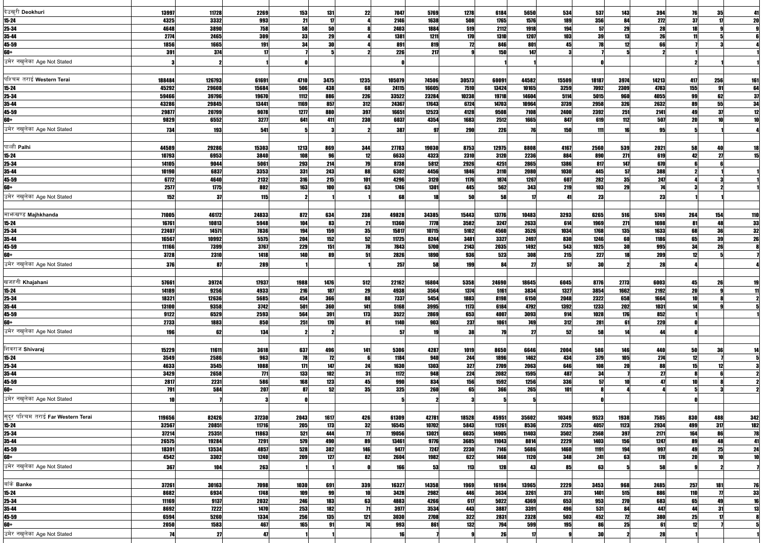| देउखुरी Deokhuri                    | 13997         | 11728         | 2269        | 153        | 131          | 22              | 7047         | 5769         | 1278        | 6184         | 5650         | 534         | 537        | 143             | 394             | 76              | 35                    |                                                       |
|-------------------------------------|---------------|---------------|-------------|------------|--------------|-----------------|--------------|--------------|-------------|--------------|--------------|-------------|------------|-----------------|-----------------|-----------------|-----------------------|-------------------------------------------------------|
| $15 - 24$                           | 4325          | 3332          | 993         | 21         | $\mathbf{1}$ |                 | 2146         | 1638         | 508         | 1765         | 1576         | 189         | 356        | 84              | 272             | 37              |                       | 20                                                    |
| 25-34                               | 4648          | 3890          | 758         | 58         | 50           |                 | 2403         | 1884         | 519         | 2112         | 1918         | 194         | 57         | 29              | 28              | 18              |                       |                                                       |
| 35-44                               | 2774          | 2465          | 309         | 33         | 29           |                 | 1381         | 1211         | 170         | <b>1310</b>  | 1207         | 103         | 39         |                 | $\overline{26}$ |                 |                       |                                                       |
| 45-59                               | 1856          | 1665          | 191         | 34         | 30           |                 | 891          | 819          | 12          | 846          | 801          | 45          | 78         |                 | 66              |                 |                       |                                                       |
| 60+                                 | 391           | 374           | 17          |            |              |                 | <b>226</b>   | 217          |             | 150          | 147          |             |            |                 |                 |                 |                       |                                                       |
| उमेर नखलेका Age Not Stated          |               |               |             |            |              |                 |              |              |             |              |              |             |            |                 |                 |                 |                       |                                                       |
|                                     |               |               |             |            |              |                 |              |              |             |              |              |             |            |                 |                 |                 |                       |                                                       |
| पश्चिम तराई Western Terai           | 188484        | 126793        | 61691       | 4710       | 3475         | 1235            | 105079       | 74506        | 30573       | 60091        | 44582        | 15509       | 18187      | 3974            | 14213           | 417             | 256                   | <b>161</b>                                            |
| $15 - 24$                           | 45292         | 29608         | 15684       | 506        | 438          | 68              | 24115        | 16605        | 7510        | 13424        | 10165        | 3259        | 7092       | 2309            | 4783            | 155             | 91                    |                                                       |
| 25-34                               | 59466         | 39796         | 19670       | 1112       | <b>886</b>   | 226             | 33522        | 23284        | 10238       | 19718        | 14604        | 5114        | 5015       | 960             | 4055            | 99              | 62                    | $\begin{array}{c}\n 64 \\  \hline\n 37\n \end{array}$ |
| 35-44                               | 43286         | 29845         | 13441       | 1169       | 857          | <b>312</b>      | 24367        | 17643        | 6724        | 14703        | 10964        | 3739        | 2958       | 326             | 2632            | 89              | 55                    |                                                       |
| 45-59                               | 29877         | 20799         | 9078        | 1277       | 880          | 397             | 16651        | 12523        | 4128        | 9508         | 7108         | 2400        | 2392       | 251             | 2141            | 49              | 37                    | $\frac{34}{12}$                                       |
| 60+                                 | 9829          | 6552          | 3277        | 641        | 411          | 230             | 6037         | 4354         | 1683        | 2512         | 1665         | 847         | 619        | 112             | 507             | 20              | 10 <sup>1</sup>       |                                                       |
| उमेर नखलेका Age Not Stated          | 734           | 193           | 541         |            |              |                 | 387          | 97           | <b>290</b>  | 226          |              | 150         | 111        |                 | 95              |                 |                       |                                                       |
|                                     |               |               |             |            |              |                 |              |              |             |              |              |             |            |                 |                 |                 |                       |                                                       |
| पाल्ही Palhi                        |               |               |             |            |              |                 |              |              |             |              |              |             |            |                 |                 |                 |                       |                                                       |
|                                     | 44589         | 29286         | 15303       | 1213       | 869          | 344             | 27783        | 19030        | 8753        | 12975        | 8808         | 4167        | 2560       | 539             | 2021            | 58              |                       | 18                                                    |
| $15 - 24$                           | 10793         | 6953          | 3840        | 108        | 96           | 12              | 6633         | 4323         | 2310        | 3120         | 2236         | 884         | 890        | 271             | 619             | 42              | 27                    |                                                       |
| 25-34                               | 14105         | 9044          | 5061        | 293        | 214          | 79              | 8738         | 5812         | 2926        | 4251         | 2865         | 1386        | 817        | 147<br>57       | 670             |                 |                       |                                                       |
| 35-44                               | 10190         | 6837          | 3353        | 331        | 243          | 88              | 6302         | 4456         | 1846        | 3110         | 2080         | 1030        | 445        | 35              | <b>388</b>      |                 |                       |                                                       |
| 45-59                               | 6772          | 4640          | 2132        | <b>316</b> | 215          | 101             | 4296         | 3120         | 1176        | 1874<br>562  | 1267         | 607         | 282        | 29              | 247             |                 |                       |                                                       |
| 60+                                 | 2577          | 1775          | 802         | 163        | 100          | 63              | 1746         | 1301         | 445         |              | 343          | 219         | 103        |                 | 74              |                 |                       |                                                       |
| उमेर नखलेका Age Not Stated          | 152           | 37            | 115         |            |              |                 | 68           | 18           | 50          | 58           |              |             | 23         |                 | 23              |                 |                       |                                                       |
|                                     |               |               |             |            |              |                 |              |              |             |              |              |             |            |                 |                 |                 |                       |                                                       |
| माभाखण्ड Majhkhanda                 | 71005         | 46172         | 24833       | 872        | 634          | 238             | 49828        | 34385        | 15443       | 13776        | 10483        | 3293        | 6265       | 516             | 5749            | 264             | 154                   | $\frac{110}{33}$<br>$\frac{32}{26}$                   |
| $15 - 24$                           | 16761         | 10813         | 5948        | 104        | 83           | 21              | 11360        | 7778         | 3582        | 3247         | 2633         | 614         | 1969       | 271             | 1698            | 81              | 48                    |                                                       |
| 25-34                               | 22407         | 14571         | 7836        | 194        | 159          | 35              | 15817        | 10715        | 5102        | 4560         | 3526         | 1034        | 1768       | 135             | 1633            | 68              | 36                    |                                                       |
| 35-44                               | 16567         | 10992         | 5575        | 204        | 152          | 52              | 11725        | 8244         | 3481        | 3327         | 2497         | 830         | 1246       | 60              | 1186            | 65              | 39                    |                                                       |
| 45-59                               | 11166         | 7399          | 3767        | 229        | 151          | 78              | 7843         | 5700         | 2143        | 2035         | 1492         | 543         | 1025       | <b>30</b>       | 995             | 34              | 26                    |                                                       |
| 60+                                 | 3728          | 2310          | 1418        | <b>140</b> | 89           |                 | 2826         | 1890         | 936         | 523          | 308          | 215         | 227        |                 | 209             |                 |                       |                                                       |
| उमेर नखुलेका Age Not Stated         | 376           | 87            | <b>289</b>  |            |              |                 | 257          | 58           | 199         |              |              |             | 30         |                 | 28              |                 |                       |                                                       |
|                                     |               |               |             |            |              |                 |              |              |             |              |              |             |            |                 |                 |                 |                       |                                                       |
| खजहनी Khajahani                     | 57661         | 39724         | 17937       | 1988       | 1476         | 512             | 22162        | 16804        | 5358        | 24690        | 18645        | 6045        | 8776       | 2773            | 6003            | 45              | 26                    |                                                       |
| $15 - 24$                           | 14189         | 9256          | 4933        | 216        | 187          | 29              | 4938         | 3564         | 1374        | 5161         | 3834         | 1327        | 3854       | 1662            | 2192            | 20              |                       |                                                       |
| 25-34                               | 18321         | 12636         | 5685        | 454        | <b>366</b>   | 88              | 7337         | 5454         | 1883        | 8198         | 6150         | 2048        | 2322       | 658             | 1664            | 10              |                       |                                                       |
| 35-44                               | 13100         | 9358          | 3742        | 501        | <b>360</b>   | 141             | 5168         | 3995         | 1173        | 6184         | 4792         | 1392        | 1233       | 202             | 1031            | 14              |                       |                                                       |
| 45-59                               | 9122          | 6529          | 2593        | 564        | 391          | 173             | 3522         | 2869         | 653         | 4007         | 3093         | 914         | 1028       | 176             | 852             |                 |                       |                                                       |
| $60+$                               | 2733          | 1883          | 850         | 251        | 170          | 81              | 1140         | 903          | 237         | 1061         | 749          | 312         | 281        | 61              | <b>220</b>      |                 |                       |                                                       |
| उमेर नखुलेका Age Not Stated         | 196           | 62            | 134         |            |              |                 |              | 19           | 38          |              |              | 52          | 58         |                 | ΔД              |                 |                       |                                                       |
|                                     |               |               |             |            |              |                 |              |              |             |              |              |             |            |                 |                 |                 |                       |                                                       |
| शिवराज Shivaraj                     |               |               |             |            |              |                 |              |              |             |              |              |             |            |                 |                 |                 |                       |                                                       |
| $15 - 24$                           | 15229<br>3549 | 11611<br>2586 | 3618<br>963 | 637<br>78  | 496<br>12    | 141             | 5306<br>1184 | 4287<br>940  | 1019<br>244 | 8650<br>1896 | 6646<br>1462 | 2004<br>434 | 586<br>379 | 146<br>105      | 440<br>274      | 50<br>12        | 36                    |                                                       |
| 25-34                               | 4633          | 3545          | 1088        | 171        | 147          | 24              | 1630         | 1303         | 327         | 2709         | 2063         | 646         | 108        | 20              | 88              | 15 <sub>l</sub> | 12                    |                                                       |
| 35-44                               | 3429          | 2658          | 771         | 133        | 102          | 31              | 1172         | 948          | 224         | 2082         | 1595         | 487         | 34         |                 | 27              |                 |                       |                                                       |
| 45-59                               | 2817          | 2231          | 586         | 168        | 123          | 45              | 990          | 834          | 156         | 1592         | 1256         | <b>336</b>  | 57         |                 | 47              | 10              |                       |                                                       |
| 60+                                 | 791           | 584           | 207         | 87         | 52           | 35              | 325          | 260          | 65          | 366          | 265          | 101         |            |                 |                 |                 |                       |                                                       |
| उमेर नखुलेका Age Not Stated         |               |               |             |            |              |                 |              |              |             |              |              |             |            |                 |                 |                 |                       |                                                       |
|                                     | 10            |               |             |            |              |                 |              |              |             |              |              |             |            |                 |                 |                 |                       |                                                       |
|                                     |               |               |             |            |              |                 |              |              |             |              |              |             |            |                 |                 |                 |                       |                                                       |
| सुदूर पश्चिम तराई Far Western Terai | 119656        | 82426         | 37230       | 2043       | 1617         | 426             | 61309        | 42781        | 18528       | 45951        | 35602        | 10349       | 9523       | 1938            | 7585            | 830             | 488                   | 342                                                   |
| $15-24$                             | 32567         | 20851         | 11716       | 205        | 173          | 32              | 16545        | 10702        | 5843        | 11261        | 8536         | 2725        | 4057       | 1123            | 2934            | 499             | 317                   | $\frac{182}{78}$                                      |
| 25-34                               | 37214         | 25351         | 11863       | 521        | 444          |                 | 19056        | 13021        | 6035        | 14905        | 11403        | 3502        | 2568       | 397             | 2171            | 164             | 86                    |                                                       |
| 35-44                               | 26575         | 19284         | 7291        | 579        | 490          | 89              | 13461        | 9776         | 3685        | 11043        | 8814         | 2229        | 1403       | 156             | 1247            | 89              | 48                    |                                                       |
| 45-59<br>60+                        | 18391         | 13534         | 4857        | 528        | 382<br>127   | 146             | 9477<br>2604 | 7247<br>1982 | 2230<br>622 | 7146         | 5686         | 1460        | 1191       | 194<br>63       | 997             | 49              | 25<br>10 <sup>1</sup> | $\overline{24}$                                       |
|                                     | 4542          | 3302          | 1240        | 209        |              | 82              |              |              |             | 1468         | 1120         | 348         | 241        |                 | 178             | 20              |                       |                                                       |
| उमेर नखुलेका Age Not Stated         | 367           | 104           | 263         |            |              |                 | 166          | 53           | 113         | 128          |              | 85          | 63         |                 | 58              |                 |                       |                                                       |
|                                     |               |               |             |            |              |                 |              |              |             |              |              |             |            |                 |                 |                 |                       |                                                       |
| बाँके Banke                         | 37261         | 30163         | 7098        | 1030       | 691          | 339             | 16327        | 14358        | 1969        | 16194        | 13965        | 2229        | 3453       | 968             | 2485            | 257             | 181                   | 76                                                    |
| $15 - 24$                           | 8682          | 6934          | 1748        | 109        | 99           | 10              | 3428         | 2982         | 446         | 3634         | 3261         | 373         | 1401       | 515             | 886             | 110             | $\boldsymbol{\eta}$   | $\begin{array}{r}\n 33 \\  \hline\n 16\n \end{array}$ |
| 25-34                               | 11169         | 9137          | 2032        | 246        | 183          | 63              | 4883         | 4266         | 617         | 5022         | 4369         | 653         | 953        | 270             | 683             | 65              | 49                    |                                                       |
| 35-44                               | 8692          | 7222          | 1470        | 253        | 182          | $\overline{11}$ | 3977         | 3534         | 443         | 3887         | 3391         | 496         | 531        | 84              | 447             | 44              | 31                    | $\overline{13}$                                       |
| 45-59                               | 6594          | 5260          | 1334        | 256        | 135          | 121             | 3030         | 2708         | 322         | 2831         | 2328         | 503         | 452        | $\overline{12}$ | 380             | 25              |                       |                                                       |
| 60+                                 | 2050          | 1583          | 467         | 165        | 91           | 74              | 993          | 861          | 132         | 794          | 599          | 195         | 86         | 25              | 61              | 12              |                       |                                                       |
| उमेर नखुलेका Age Not Stated         | 74            | 27            | 41          |            |              |                 |              |              |             | 26           |              |             | 30         |                 | 28              |                 |                       |                                                       |
|                                     |               |               |             |            |              |                 |              |              |             |              |              |             |            |                 |                 |                 |                       |                                                       |